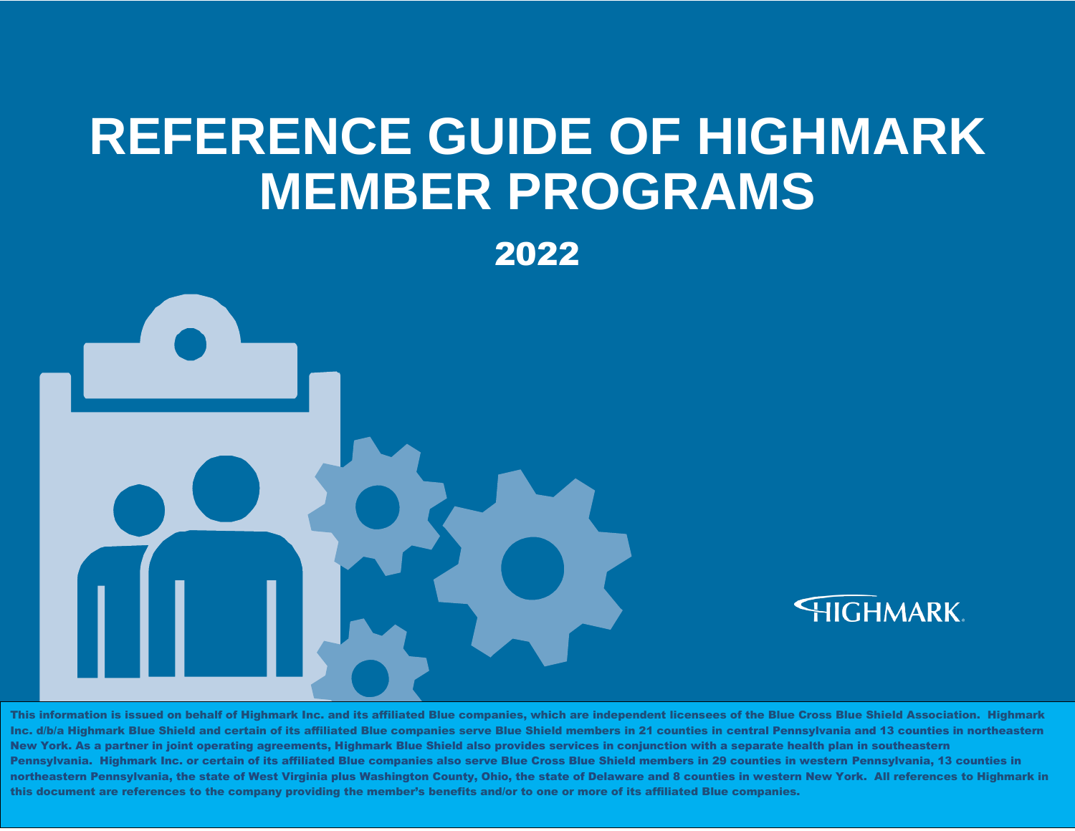# **REFERENCE GUIDE OF HIGHMARK MEMBER PROGRAMS**

2022



This information is issued on behalf of Highmark Inc. and its affiliated Blue companies, which are independent licensees of the Blue Cross Blue Shield Association. Highmark Inc. d/b/a Highmark Blue Shield and certain of its affiliated Blue companies serve Blue Shield members in 21 counties in central Pennsylvania and 13 counties in northeastern New York. As a partner in joint operating agreements, Highmark Blue Shield also provides services in conjunction with a separate health plan in southeastern Pennsylvania. Highmark Inc. or certain of its affiliated Blue companies also serve Blue Cross Blue Shield members in 29 counties in western Pennsylvania, 13 counties in northeastern Pennsylvania, the state of West Virginia plus Washington County, Ohio, the state of Delaware and 8 counties in western New York. All references to Highmark in this document are references to the company providing the member's benefits and/or to one or more of its affiliated Blue companies.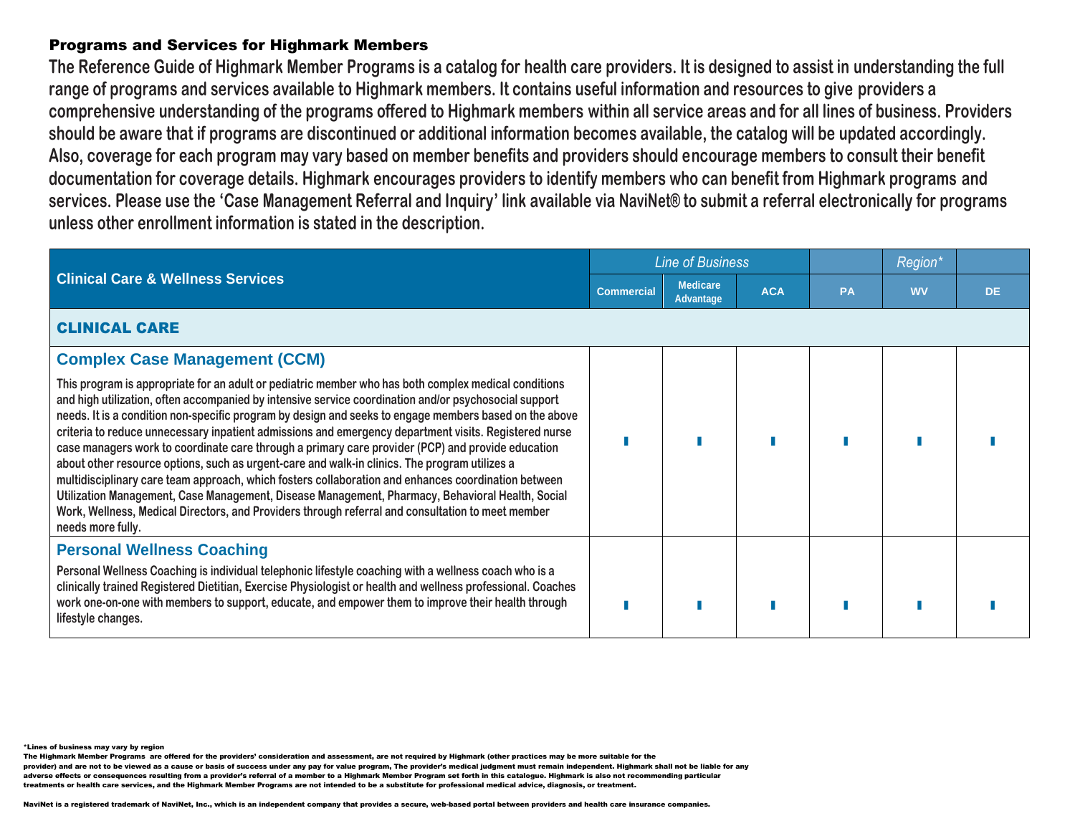### Programs and Services for Highmark Members

**The Reference Guide of Highmark Member Programs is a catalog for health care providers. It is designed to assist in understanding the full range of programs and services available to Highmark members. It contains useful information and resources to give providers a comprehensive understanding of the programs offered to Highmark members within all service areas and for all lines of business. Providers should be aware that if programs are discontinued or additional information becomes available, the catalog will be updated accordingly. Also, coverage for each program may vary based on member benefits and providers should encourage members to consult their benefit documentation for coverage details. Highmark encourages providers to identify members who can benefit from Highmark programs and services. Please use the 'Case Management Referral and Inquiry' link available via NaviNet® to submit a referral electronically for programs unless other enrollment information is stated in the description.** 

|                                                                                                                                                                                                                                                                                                                                                                                                                                                                                                                                                                                                                                                                                                                                                                                                                                                                                                                                                                             | <b>Line of Business</b> |                              |            |           | <b>Region</b> |           |
|-----------------------------------------------------------------------------------------------------------------------------------------------------------------------------------------------------------------------------------------------------------------------------------------------------------------------------------------------------------------------------------------------------------------------------------------------------------------------------------------------------------------------------------------------------------------------------------------------------------------------------------------------------------------------------------------------------------------------------------------------------------------------------------------------------------------------------------------------------------------------------------------------------------------------------------------------------------------------------|-------------------------|------------------------------|------------|-----------|---------------|-----------|
| <b>Clinical Care &amp; Wellness Services</b>                                                                                                                                                                                                                                                                                                                                                                                                                                                                                                                                                                                                                                                                                                                                                                                                                                                                                                                                | <b>Commercial</b>       | <b>Medicare</b><br>Advantage | <b>ACA</b> | <b>PA</b> | <b>WV</b>     | <b>DE</b> |
| <b>CLINICAL CARE</b>                                                                                                                                                                                                                                                                                                                                                                                                                                                                                                                                                                                                                                                                                                                                                                                                                                                                                                                                                        |                         |                              |            |           |               |           |
| <b>Complex Case Management (CCM)</b>                                                                                                                                                                                                                                                                                                                                                                                                                                                                                                                                                                                                                                                                                                                                                                                                                                                                                                                                        |                         |                              |            |           |               |           |
| This program is appropriate for an adult or pediatric member who has both complex medical conditions<br>and high utilization, often accompanied by intensive service coordination and/or psychosocial support<br>needs. It is a condition non-specific program by design and seeks to engage members based on the above<br>criteria to reduce unnecessary inpatient admissions and emergency department visits. Registered nurse<br>case managers work to coordinate care through a primary care provider (PCP) and provide education<br>about other resource options, such as urgent-care and walk-in clinics. The program utilizes a<br>multidisciplinary care team approach, which fosters collaboration and enhances coordination between<br>Utilization Management, Case Management, Disease Management, Pharmacy, Behavioral Health, Social<br>Work, Wellness, Medical Directors, and Providers through referral and consultation to meet member<br>needs more fully. |                         |                              |            |           |               |           |
| <b>Personal Wellness Coaching</b><br>Personal Wellness Coaching is individual telephonic lifestyle coaching with a wellness coach who is a<br>clinically trained Registered Dietitian, Exercise Physiologist or health and wellness professional. Coaches<br>work one-on-one with members to support, educate, and empower them to improve their health through<br>lifestyle changes.                                                                                                                                                                                                                                                                                                                                                                                                                                                                                                                                                                                       |                         |                              |            |           |               |           |

\*Lines of business may vary by region

The Highmark Member Programs are offered for the providers' consideration and assessment, are not required by Highmark (other practices may be more suitable for the

provider) and are not to be viewed as a cause or basis of success under any pay for value program, The provider's medical judgment must remain independent. Highmark shall not be liable for any

adverse effects or consequences resulting from a provider's referral of a member to a Highmark Member Program set forth in this catalogue. Highmark is also not recommending particular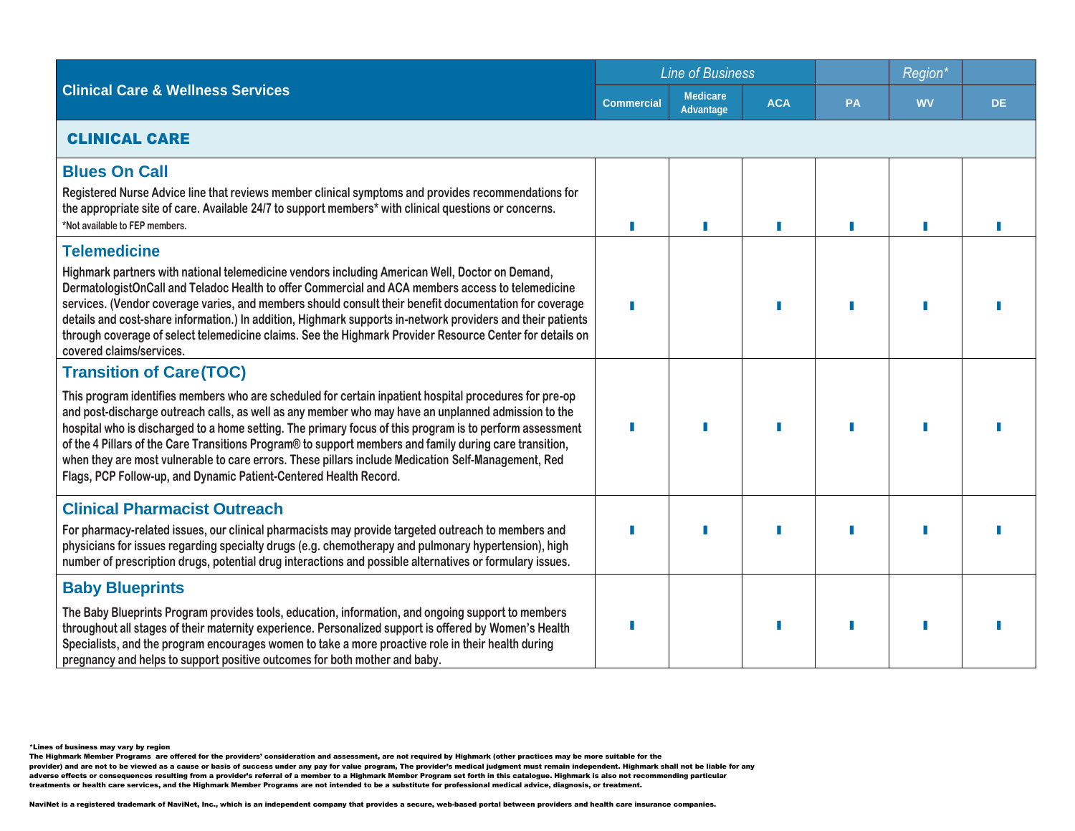|                                                                                                                                                                                                                                                                                                                                                                                                                                                                                                                                                                                                                                                    |                   | <b>Line of Business</b>             |            |           | Region*   |     |  |  |
|----------------------------------------------------------------------------------------------------------------------------------------------------------------------------------------------------------------------------------------------------------------------------------------------------------------------------------------------------------------------------------------------------------------------------------------------------------------------------------------------------------------------------------------------------------------------------------------------------------------------------------------------------|-------------------|-------------------------------------|------------|-----------|-----------|-----|--|--|
| <b>Clinical Care &amp; Wellness Services</b>                                                                                                                                                                                                                                                                                                                                                                                                                                                                                                                                                                                                       | <b>Commercial</b> | <b>Medicare</b><br><b>Advantage</b> | <b>ACA</b> | <b>PA</b> | <b>WV</b> | DE. |  |  |
| <b>CLINICAL CARE</b>                                                                                                                                                                                                                                                                                                                                                                                                                                                                                                                                                                                                                               |                   |                                     |            |           |           |     |  |  |
| <b>Blues On Call</b><br>Registered Nurse Advice line that reviews member clinical symptoms and provides recommendations for<br>the appropriate site of care. Available 24/7 to support members* with clinical questions or concerns.<br>*Not available to FEP members.                                                                                                                                                                                                                                                                                                                                                                             |                   |                                     |            |           |           |     |  |  |
| <b>Telemedicine</b><br>Highmark partners with national telemedicine vendors including American Well, Doctor on Demand,<br>DermatologistOnCall and Teladoc Health to offer Commercial and ACA members access to telemedicine<br>services. (Vendor coverage varies, and members should consult their benefit documentation for coverage<br>details and cost-share information.) In addition, Highmark supports in-network providers and their patients<br>through coverage of select telemedicine claims. See the Highmark Provider Resource Center for details on<br>covered claims/services.                                                       |                   |                                     |            |           |           |     |  |  |
| <b>Transition of Care(TOC)</b><br>This program identifies members who are scheduled for certain inpatient hospital procedures for pre-op<br>and post-discharge outreach calls, as well as any member who may have an unplanned admission to the<br>hospital who is discharged to a home setting. The primary focus of this program is to perform assessment<br>of the 4 Pillars of the Care Transitions Program® to support members and family during care transition,<br>when they are most vulnerable to care errors. These pillars include Medication Self-Management, Red<br>Flags, PCP Follow-up, and Dynamic Patient-Centered Health Record. |                   |                                     |            |           |           |     |  |  |
| <b>Clinical Pharmacist Outreach</b><br>For pharmacy-related issues, our clinical pharmacists may provide targeted outreach to members and<br>physicians for issues regarding specialty drugs (e.g. chemotherapy and pulmonary hypertension), high<br>number of prescription drugs, potential drug interactions and possible alternatives or formulary issues.                                                                                                                                                                                                                                                                                      |                   |                                     |            |           |           |     |  |  |
| <b>Baby Blueprints</b><br>The Baby Blueprints Program provides tools, education, information, and ongoing support to members<br>throughout all stages of their maternity experience. Personalized support is offered by Women's Health<br>Specialists, and the program encourages women to take a more proactive role in their health during<br>pregnancy and helps to support positive outcomes for both mother and baby.                                                                                                                                                                                                                         |                   |                                     |            |           |           |     |  |  |

The Highmark Member Programs are offered for the providers' consideration and assessment, are not required by Highmark (other practices may be more suitable for the<br>provider) and are not to be viewed as a cause or basis o

adverse effects or consequences resulting from a provider's referral of a member to a Highmark Member Program set forth in this catalogue. Highmark is also not recommending particular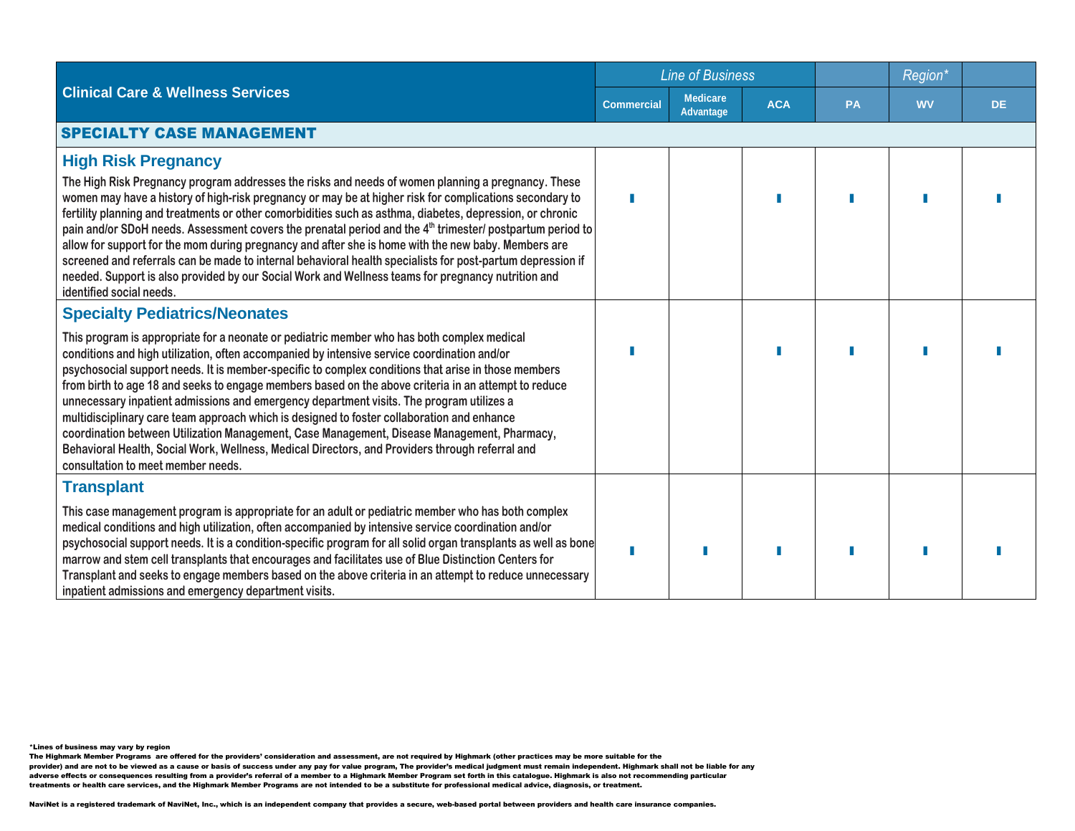|                                                                                                                                                                                                                                                                                                                                                                                                                                                                                                                                                                                                                                                                                                                                                                                                                                            | <b>Line of Business</b> |                              |            |    |           |           |  |  |
|--------------------------------------------------------------------------------------------------------------------------------------------------------------------------------------------------------------------------------------------------------------------------------------------------------------------------------------------------------------------------------------------------------------------------------------------------------------------------------------------------------------------------------------------------------------------------------------------------------------------------------------------------------------------------------------------------------------------------------------------------------------------------------------------------------------------------------------------|-------------------------|------------------------------|------------|----|-----------|-----------|--|--|
| <b>Clinical Care &amp; Wellness Services</b>                                                                                                                                                                                                                                                                                                                                                                                                                                                                                                                                                                                                                                                                                                                                                                                               | <b>Commercial</b>       | <b>Medicare</b><br>Advantage | <b>ACA</b> | PA | <b>WV</b> | <b>DE</b> |  |  |
| <b>SPECIALTY CASE MANAGEMENT</b>                                                                                                                                                                                                                                                                                                                                                                                                                                                                                                                                                                                                                                                                                                                                                                                                           |                         |                              |            |    |           |           |  |  |
| <b>High Risk Pregnancy</b><br>The High Risk Pregnancy program addresses the risks and needs of women planning a pregnancy. These<br>women may have a history of high-risk pregnancy or may be at higher risk for complications secondary to<br>fertility planning and treatments or other comorbidities such as asthma, diabetes, depression, or chronic<br>pain and/or SDoH needs. Assessment covers the prenatal period and the 4 <sup>th</sup> trimester/ postpartum period to<br>allow for support for the mom during pregnancy and after she is home with the new baby. Members are<br>screened and referrals can be made to internal behavioral health specialists for post-partum depression if<br>needed. Support is also provided by our Social Work and Wellness teams for pregnancy nutrition and<br>identified social needs.   |                         |                              |            |    |           |           |  |  |
| <b>Specialty Pediatrics/Neonates</b>                                                                                                                                                                                                                                                                                                                                                                                                                                                                                                                                                                                                                                                                                                                                                                                                       |                         |                              |            |    |           |           |  |  |
| This program is appropriate for a neonate or pediatric member who has both complex medical<br>conditions and high utilization, often accompanied by intensive service coordination and/or<br>psychosocial support needs. It is member-specific to complex conditions that arise in those members<br>from birth to age 18 and seeks to engage members based on the above criteria in an attempt to reduce<br>unnecessary inpatient admissions and emergency department visits. The program utilizes a<br>multidisciplinary care team approach which is designed to foster collaboration and enhance<br>coordination between Utilization Management, Case Management, Disease Management, Pharmacy,<br>Behavioral Health, Social Work, Wellness, Medical Directors, and Providers through referral and<br>consultation to meet member needs. |                         |                              |            |    |           |           |  |  |
| <b>Transplant</b>                                                                                                                                                                                                                                                                                                                                                                                                                                                                                                                                                                                                                                                                                                                                                                                                                          |                         |                              |            |    |           |           |  |  |
| This case management program is appropriate for an adult or pediatric member who has both complex<br>medical conditions and high utilization, often accompanied by intensive service coordination and/or<br>psychosocial support needs. It is a condition-specific program for all solid organ transplants as well as bone<br>marrow and stem cell transplants that encourages and facilitates use of Blue Distinction Centers for<br>Transplant and seeks to engage members based on the above criteria in an attempt to reduce unnecessary<br>inpatient admissions and emergency department visits.                                                                                                                                                                                                                                      |                         |                              |            |    |           |           |  |  |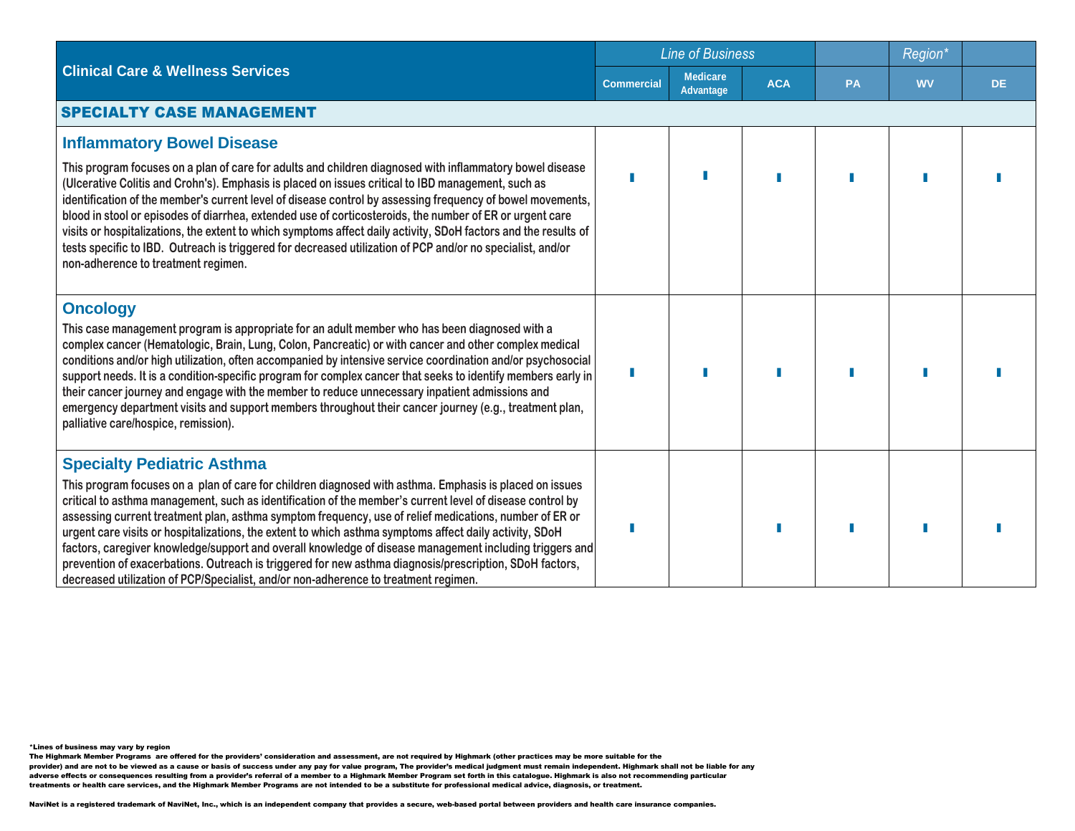|                                                                                                                                                                                                                                                                                                                                                                                                                                                                                                                                                                                                                                                                                                                                                                                             |                   | <b>Line of Business</b>      |            |           | Region*   |           |  |  |
|---------------------------------------------------------------------------------------------------------------------------------------------------------------------------------------------------------------------------------------------------------------------------------------------------------------------------------------------------------------------------------------------------------------------------------------------------------------------------------------------------------------------------------------------------------------------------------------------------------------------------------------------------------------------------------------------------------------------------------------------------------------------------------------------|-------------------|------------------------------|------------|-----------|-----------|-----------|--|--|
| <b>Clinical Care &amp; Wellness Services</b>                                                                                                                                                                                                                                                                                                                                                                                                                                                                                                                                                                                                                                                                                                                                                | <b>Commercial</b> | <b>Medicare</b><br>Advantage | <b>ACA</b> | <b>PA</b> | <b>WV</b> | <b>DE</b> |  |  |
| <b>SPECIALTY CASE MANAGEMENT</b>                                                                                                                                                                                                                                                                                                                                                                                                                                                                                                                                                                                                                                                                                                                                                            |                   |                              |            |           |           |           |  |  |
| <b>Inflammatory Bowel Disease</b><br>This program focuses on a plan of care for adults and children diagnosed with inflammatory bowel disease<br>(Ulcerative Colitis and Crohn's). Emphasis is placed on issues critical to IBD management, such as<br>identification of the member's current level of disease control by assessing frequency of bowel movements,<br>blood in stool or episodes of diarrhea, extended use of corticosteroids, the number of ER or urgent care<br>visits or hospitalizations, the extent to which symptoms affect daily activity, SDoH factors and the results of<br>tests specific to IBD. Outreach is triggered for decreased utilization of PCP and/or no specialist, and/or<br>non-adherence to treatment regimen.                                       |                   |                              |            |           |           |           |  |  |
| <b>Oncology</b><br>This case management program is appropriate for an adult member who has been diagnosed with a<br>complex cancer (Hematologic, Brain, Lung, Colon, Pancreatic) or with cancer and other complex medical<br>conditions and/or high utilization, often accompanied by intensive service coordination and/or psychosocial<br>support needs. It is a condition-specific program for complex cancer that seeks to identify members early in<br>their cancer journey and engage with the member to reduce unnecessary inpatient admissions and<br>emergency department visits and support members throughout their cancer journey (e.g., treatment plan,<br>palliative care/hospice, remission).                                                                                |                   |                              |            |           |           |           |  |  |
| <b>Specialty Pediatric Asthma</b><br>This program focuses on a plan of care for children diagnosed with asthma. Emphasis is placed on issues<br>critical to asthma management, such as identification of the member's current level of disease control by<br>assessing current treatment plan, asthma symptom frequency, use of relief medications, number of ER or<br>urgent care visits or hospitalizations, the extent to which asthma symptoms affect daily activity, SDoH<br>factors, caregiver knowledge/support and overall knowledge of disease management including triggers and<br>prevention of exacerbations. Outreach is triggered for new asthma diagnosis/prescription, SDoH factors,<br>decreased utilization of PCP/Specialist, and/or non-adherence to treatment regimen. |                   |                              |            |           |           |           |  |  |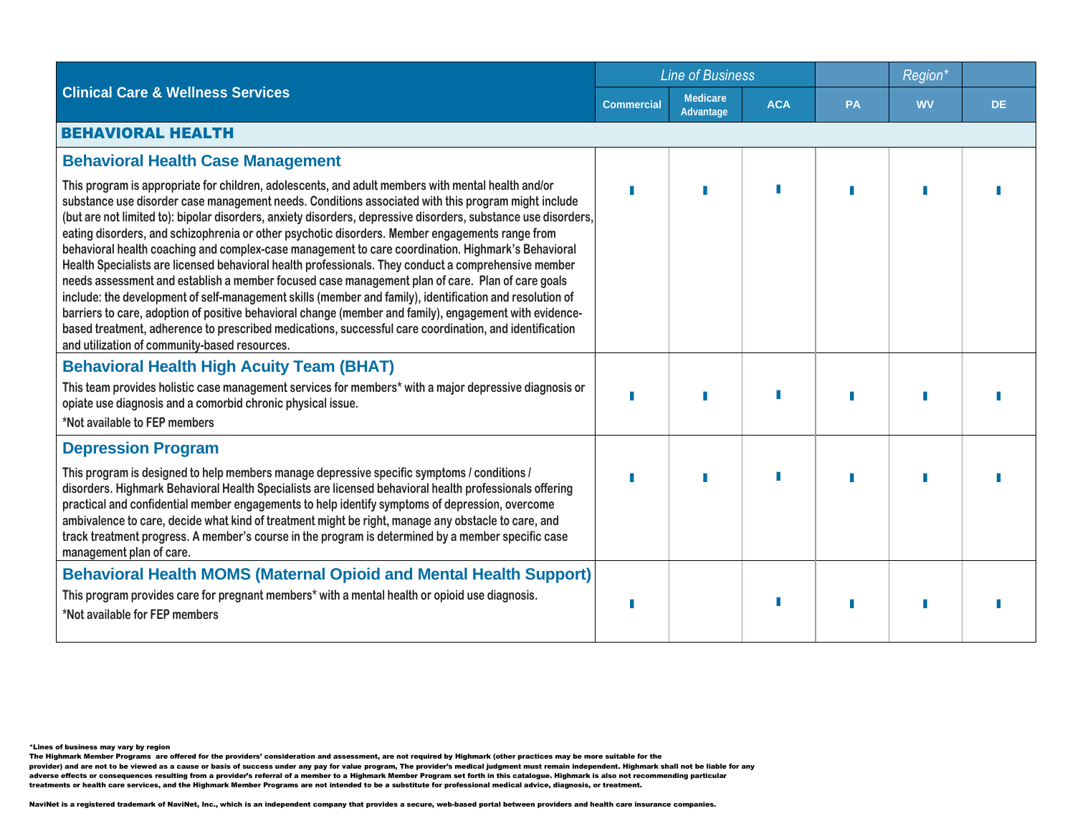|                                                                                                                                                                                                                                                                                                                                                                                                                                                                                                                                                                                                                                                                                                                                                                                                                                                                                                                                                                                                                                                                                                                                    |                   | <b>Line of Business</b>             |            |           | Region <sup>®</sup> |           |  |  |  |
|------------------------------------------------------------------------------------------------------------------------------------------------------------------------------------------------------------------------------------------------------------------------------------------------------------------------------------------------------------------------------------------------------------------------------------------------------------------------------------------------------------------------------------------------------------------------------------------------------------------------------------------------------------------------------------------------------------------------------------------------------------------------------------------------------------------------------------------------------------------------------------------------------------------------------------------------------------------------------------------------------------------------------------------------------------------------------------------------------------------------------------|-------------------|-------------------------------------|------------|-----------|---------------------|-----------|--|--|--|
| <b>Clinical Care &amp; Wellness Services</b>                                                                                                                                                                                                                                                                                                                                                                                                                                                                                                                                                                                                                                                                                                                                                                                                                                                                                                                                                                                                                                                                                       | <b>Commercial</b> | <b>Medicare</b><br><b>Advantage</b> | <b>ACA</b> | <b>PA</b> | <b>WV</b>           | <b>DE</b> |  |  |  |
| <b>BEHAVIORAL HEALTH</b>                                                                                                                                                                                                                                                                                                                                                                                                                                                                                                                                                                                                                                                                                                                                                                                                                                                                                                                                                                                                                                                                                                           |                   |                                     |            |           |                     |           |  |  |  |
| <b>Behavioral Health Case Management</b>                                                                                                                                                                                                                                                                                                                                                                                                                                                                                                                                                                                                                                                                                                                                                                                                                                                                                                                                                                                                                                                                                           |                   |                                     |            |           |                     |           |  |  |  |
| This program is appropriate for children, adolescents, and adult members with mental health and/or<br>substance use disorder case management needs. Conditions associated with this program might include<br>(but are not limited to): bipolar disorders, anxiety disorders, depressive disorders, substance use disorders,<br>eating disorders, and schizophrenia or other psychotic disorders. Member engagements range from<br>behavioral health coaching and complex-case management to care coordination. Highmark's Behavioral<br>Health Specialists are licensed behavioral health professionals. They conduct a comprehensive member<br>needs assessment and establish a member focused case management plan of care. Plan of care goals<br>include: the development of self-management skills (member and family), identification and resolution of<br>barriers to care, adoption of positive behavioral change (member and family), engagement with evidence-<br>based treatment, adherence to prescribed medications, successful care coordination, and identification<br>and utilization of community-based resources. |                   |                                     |            |           |                     |           |  |  |  |
| <b>Behavioral Health High Acuity Team (BHAT)</b>                                                                                                                                                                                                                                                                                                                                                                                                                                                                                                                                                                                                                                                                                                                                                                                                                                                                                                                                                                                                                                                                                   |                   |                                     |            |           |                     |           |  |  |  |
| This team provides holistic case management services for members* with a major depressive diagnosis or<br>opiate use diagnosis and a comorbid chronic physical issue.<br>*Not available to FEP members                                                                                                                                                                                                                                                                                                                                                                                                                                                                                                                                                                                                                                                                                                                                                                                                                                                                                                                             |                   |                                     |            |           |                     |           |  |  |  |
| <b>Depression Program</b>                                                                                                                                                                                                                                                                                                                                                                                                                                                                                                                                                                                                                                                                                                                                                                                                                                                                                                                                                                                                                                                                                                          |                   |                                     |            |           |                     |           |  |  |  |
| This program is designed to help members manage depressive specific symptoms / conditions /<br>disorders. Highmark Behavioral Health Specialists are licensed behavioral health professionals offering<br>practical and confidential member engagements to help identify symptoms of depression, overcome<br>ambivalence to care, decide what kind of treatment might be right, manage any obstacle to care, and<br>track treatment progress. A member's course in the program is determined by a member specific case<br>management plan of care.                                                                                                                                                                                                                                                                                                                                                                                                                                                                                                                                                                                 |                   |                                     |            |           |                     |           |  |  |  |
| <b>Behavioral Health MOMS (Maternal Opioid and Mental Health Support)</b>                                                                                                                                                                                                                                                                                                                                                                                                                                                                                                                                                                                                                                                                                                                                                                                                                                                                                                                                                                                                                                                          |                   |                                     |            |           |                     |           |  |  |  |
| This program provides care for pregnant members* with a mental health or opioid use diagnosis.<br>*Not available for FEP members                                                                                                                                                                                                                                                                                                                                                                                                                                                                                                                                                                                                                                                                                                                                                                                                                                                                                                                                                                                                   |                   |                                     |            |           |                     |           |  |  |  |

The Highmark Member Programs are offered for the providers' consideration and assessment, are not required by Highmark (other practices may be more suitable for the<br>provider) and are not to be viewed as a cause or basis o

adverse effects or consequences resulting from a provider's referral of a member to a Highmark Member Program set forth in this catalogue. Highmark is also not recommending particular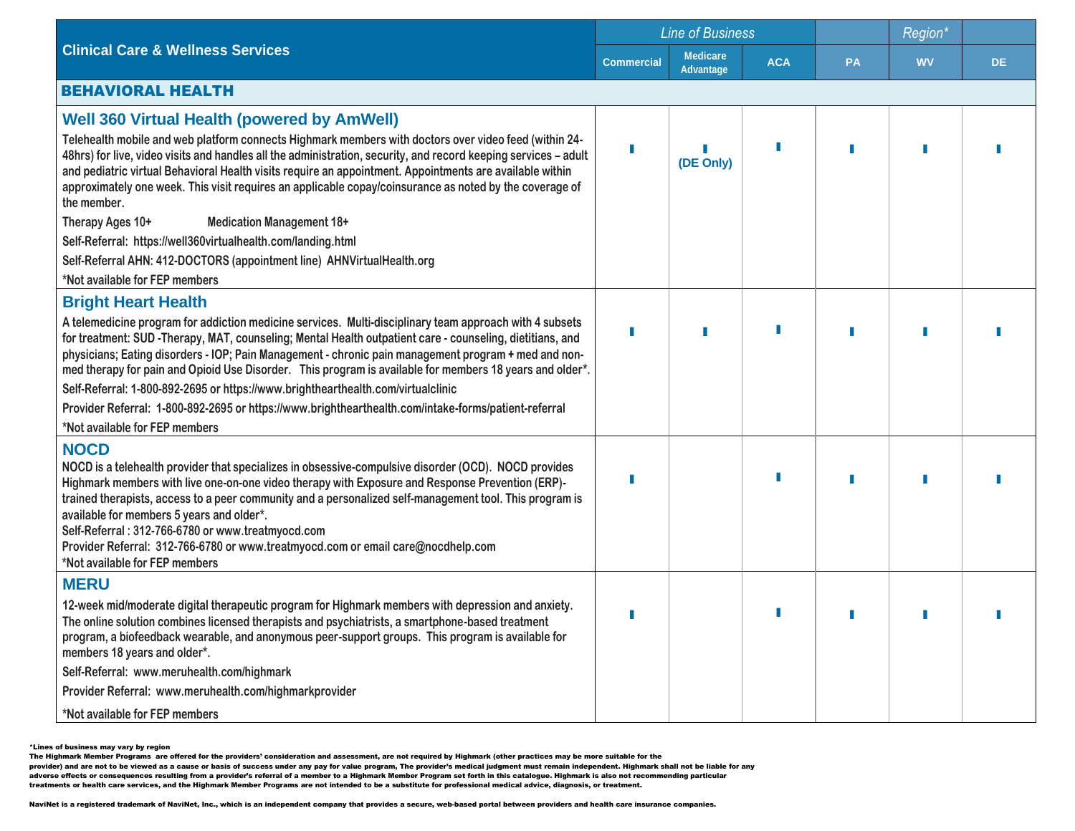|                                                                                                                                                                                                                                                                                                                                                                                                                                                                                                                                                            | <b>Line of Business</b> |                                     |            |           |           |           |  |  |  |
|------------------------------------------------------------------------------------------------------------------------------------------------------------------------------------------------------------------------------------------------------------------------------------------------------------------------------------------------------------------------------------------------------------------------------------------------------------------------------------------------------------------------------------------------------------|-------------------------|-------------------------------------|------------|-----------|-----------|-----------|--|--|--|
| <b>Clinical Care &amp; Wellness Services</b>                                                                                                                                                                                                                                                                                                                                                                                                                                                                                                               | <b>Commercial</b>       | <b>Medicare</b><br><b>Advantage</b> | <b>ACA</b> | <b>PA</b> | <b>WV</b> | <b>DE</b> |  |  |  |
| <b>BEHAVIORAL HEALTH</b>                                                                                                                                                                                                                                                                                                                                                                                                                                                                                                                                   |                         |                                     |            |           |           |           |  |  |  |
| <b>Well 360 Virtual Health (powered by AmWell)</b>                                                                                                                                                                                                                                                                                                                                                                                                                                                                                                         |                         |                                     |            |           |           |           |  |  |  |
| Telehealth mobile and web platform connects Highmark members with doctors over video feed (within 24-<br>48hrs) for live, video visits and handles all the administration, security, and record keeping services - adult<br>and pediatric virtual Behavioral Health visits require an appointment. Appointments are available within<br>approximately one week. This visit requires an applicable copay/coinsurance as noted by the coverage of<br>the member.                                                                                             |                         | (DE Only)                           |            |           |           |           |  |  |  |
| Therapy Ages 10+<br><b>Medication Management 18+</b>                                                                                                                                                                                                                                                                                                                                                                                                                                                                                                       |                         |                                     |            |           |           |           |  |  |  |
| Self-Referral: https://well360virtualhealth.com/landing.html                                                                                                                                                                                                                                                                                                                                                                                                                                                                                               |                         |                                     |            |           |           |           |  |  |  |
| Self-Referral AHN: 412-DOCTORS (appointment line) AHNVirtualHealth.org                                                                                                                                                                                                                                                                                                                                                                                                                                                                                     |                         |                                     |            |           |           |           |  |  |  |
| *Not available for FEP members                                                                                                                                                                                                                                                                                                                                                                                                                                                                                                                             |                         |                                     |            |           |           |           |  |  |  |
| <b>Bright Heart Health</b>                                                                                                                                                                                                                                                                                                                                                                                                                                                                                                                                 |                         |                                     |            |           |           |           |  |  |  |
| A telemedicine program for addiction medicine services. Multi-disciplinary team approach with 4 subsets<br>for treatment: SUD -Therapy, MAT, counseling; Mental Health outpatient care - counseling, dietitians, and<br>physicians; Eating disorders - IOP; Pain Management - chronic pain management program + med and non-<br>med therapy for pain and Opioid Use Disorder. This program is available for members 18 years and older*.                                                                                                                   |                         |                                     |            |           |           |           |  |  |  |
| Self-Referral: 1-800-892-2695 or https://www.brighthearthealth.com/virtualclinic                                                                                                                                                                                                                                                                                                                                                                                                                                                                           |                         |                                     |            |           |           |           |  |  |  |
| Provider Referral: 1-800-892-2695 or https://www.brighthearthealth.com/intake-forms/patient-referral                                                                                                                                                                                                                                                                                                                                                                                                                                                       |                         |                                     |            |           |           |           |  |  |  |
| *Not available for FEP members                                                                                                                                                                                                                                                                                                                                                                                                                                                                                                                             |                         |                                     |            |           |           |           |  |  |  |
| <b>NOCD</b><br>NOCD is a telehealth provider that specializes in obsessive-compulsive disorder (OCD). NOCD provides<br>Highmark members with live one-on-one video therapy with Exposure and Response Prevention (ERP)-<br>trained therapists, access to a peer community and a personalized self-management tool. This program is<br>available for members 5 years and older*.<br>Self-Referral: 312-766-6780 or www.treatmyocd.com<br>Provider Referral: 312-766-6780 or www.treatmyocd.com or email care@nocdhelp.com<br>*Not available for FEP members |                         |                                     |            |           |           |           |  |  |  |
| <b>MERU</b>                                                                                                                                                                                                                                                                                                                                                                                                                                                                                                                                                |                         |                                     |            |           |           |           |  |  |  |
| 12-week mid/moderate digital therapeutic program for Highmark members with depression and anxiety.<br>The online solution combines licensed therapists and psychiatrists, a smartphone-based treatment<br>program, a biofeedback wearable, and anonymous peer-support groups. This program is available for<br>members 18 years and older*.                                                                                                                                                                                                                |                         |                                     |            |           |           |           |  |  |  |
| Self-Referral: www.meruhealth.com/highmark                                                                                                                                                                                                                                                                                                                                                                                                                                                                                                                 |                         |                                     |            |           |           |           |  |  |  |
| Provider Referral: www.meruhealth.com/highmarkprovider                                                                                                                                                                                                                                                                                                                                                                                                                                                                                                     |                         |                                     |            |           |           |           |  |  |  |
| *Not available for FEP members                                                                                                                                                                                                                                                                                                                                                                                                                                                                                                                             |                         |                                     |            |           |           |           |  |  |  |

The Highmark Member Programs are offered for the providers' consideration and assessment, are not required by Highmark (other practices may be more suitable for the<br>provider) and are not to be viewed as a cause or basis o

adverse effects or consequences resulting from a provider's referral of a member to a Highmark Member Program set forth in this catalogue. Highmark is also not recommending particular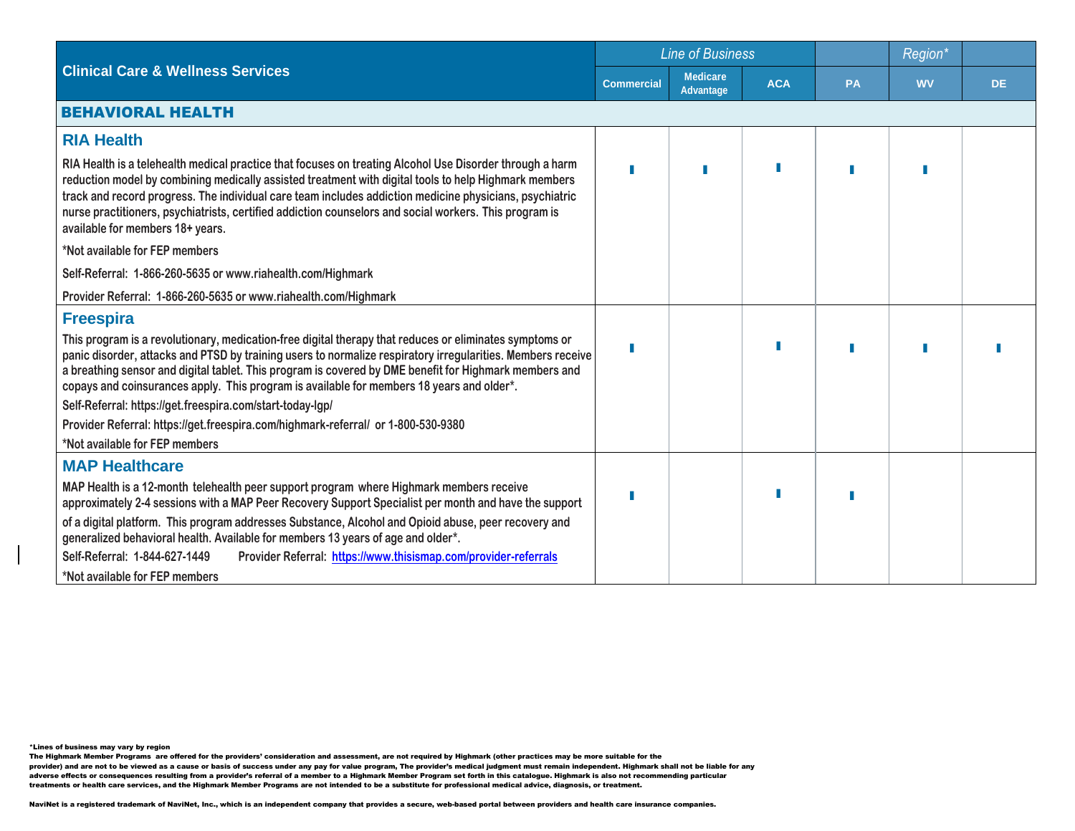|                                                                                                                                                                                                                                                                                                                                                                                                                                                                            |                   | <b>Line of Business</b>      |            |           | Region*   |     |  |
|----------------------------------------------------------------------------------------------------------------------------------------------------------------------------------------------------------------------------------------------------------------------------------------------------------------------------------------------------------------------------------------------------------------------------------------------------------------------------|-------------------|------------------------------|------------|-----------|-----------|-----|--|
| <b>Clinical Care &amp; Wellness Services</b>                                                                                                                                                                                                                                                                                                                                                                                                                               | <b>Commercial</b> | <b>Medicare</b><br>Advantage | <b>ACA</b> | <b>PA</b> | <b>WV</b> | DE. |  |
| <b>BEHAVIORAL HEALTH</b>                                                                                                                                                                                                                                                                                                                                                                                                                                                   |                   |                              |            |           |           |     |  |
| <b>RIA Health</b>                                                                                                                                                                                                                                                                                                                                                                                                                                                          |                   |                              |            |           |           |     |  |
| RIA Health is a telehealth medical practice that focuses on treating Alcohol Use Disorder through a harm<br>reduction model by combining medically assisted treatment with digital tools to help Highmark members<br>track and record progress. The individual care team includes addiction medicine physicians, psychiatric<br>nurse practitioners, psychiatrists, certified addiction counselors and social workers. This program is<br>available for members 18+ years. |                   |                              |            |           |           |     |  |
| *Not available for FEP members                                                                                                                                                                                                                                                                                                                                                                                                                                             |                   |                              |            |           |           |     |  |
| Self-Referral: 1-866-260-5635 or www.riahealth.com/Highmark                                                                                                                                                                                                                                                                                                                                                                                                                |                   |                              |            |           |           |     |  |
| Provider Referral: 1-866-260-5635 or www.riahealth.com/Highmark                                                                                                                                                                                                                                                                                                                                                                                                            |                   |                              |            |           |           |     |  |
| <b>Freespira</b>                                                                                                                                                                                                                                                                                                                                                                                                                                                           |                   |                              |            |           |           |     |  |
| This program is a revolutionary, medication-free digital therapy that reduces or eliminates symptoms or<br>panic disorder, attacks and PTSD by training users to normalize respiratory irregularities. Members receive<br>a breathing sensor and digital tablet. This program is covered by DME benefit for Highmark members and<br>copays and coinsurances apply. This program is available for members 18 years and older*.                                              |                   |                              |            |           |           |     |  |
| Self-Referral: https://get.freespira.com/start-today-lgp/                                                                                                                                                                                                                                                                                                                                                                                                                  |                   |                              |            |           |           |     |  |
| Provider Referral: https://get.freespira.com/highmark-referral/ or 1-800-530-9380<br>*Not available for FEP members                                                                                                                                                                                                                                                                                                                                                        |                   |                              |            |           |           |     |  |
| <b>MAP Healthcare</b>                                                                                                                                                                                                                                                                                                                                                                                                                                                      |                   |                              |            |           |           |     |  |
| MAP Health is a 12-month telehealth peer support program where Highmark members receive<br>approximately 2-4 sessions with a MAP Peer Recovery Support Specialist per month and have the support                                                                                                                                                                                                                                                                           |                   |                              |            |           |           |     |  |
| of a digital platform. This program addresses Substance, Alcohol and Opioid abuse, peer recovery and<br>generalized behavioral health. Available for members 13 years of age and older*.                                                                                                                                                                                                                                                                                   |                   |                              |            |           |           |     |  |
| Self-Referral: 1-844-627-1449<br>Provider Referral: https://www.thisismap.com/provider-referrals                                                                                                                                                                                                                                                                                                                                                                           |                   |                              |            |           |           |     |  |
| *Not available for FEP members                                                                                                                                                                                                                                                                                                                                                                                                                                             |                   |                              |            |           |           |     |  |

The Highmark Member Programs are offered for the providers' consideration and assessment, are not required by Highmark (other practices may be more suitable for the<br>provider) and are not to be viewed as a cause or basis o adverse effects or consequences resulting from a provider's referral of a member to a Highmark Member Program set forth in this catalogue. Highmark is also not recommending particular treatments or health care services, and the Highmark Member Programs are not intended to be a substitute for professional medical advice, diagnosis, or treatment.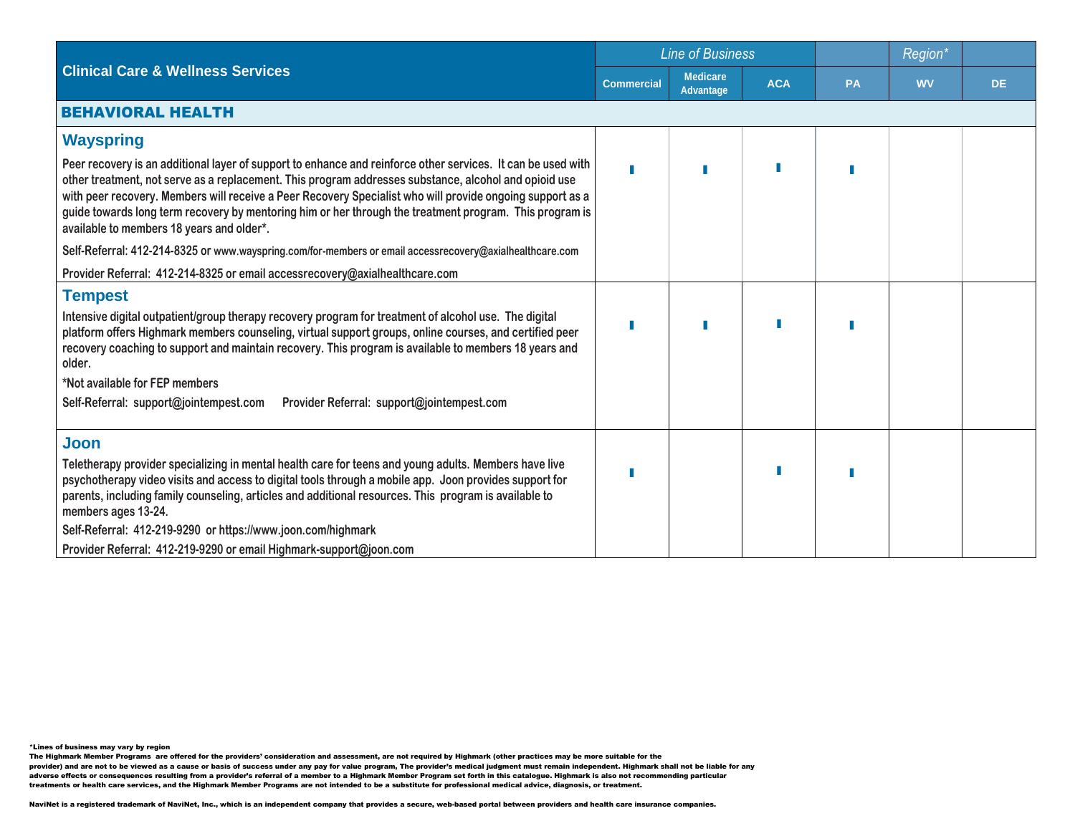|                                                                                                                                                                                                                                                                                                                                                                                                                                                                                            |                   | <b>Line of Business</b>      |            |    | Region*   |           |  |
|--------------------------------------------------------------------------------------------------------------------------------------------------------------------------------------------------------------------------------------------------------------------------------------------------------------------------------------------------------------------------------------------------------------------------------------------------------------------------------------------|-------------------|------------------------------|------------|----|-----------|-----------|--|
| <b>Clinical Care &amp; Wellness Services</b>                                                                                                                                                                                                                                                                                                                                                                                                                                               | <b>Commercial</b> | <b>Medicare</b><br>Advantage | <b>ACA</b> | PA | <b>WV</b> | <b>DE</b> |  |
| <b>BEHAVIORAL HEALTH</b>                                                                                                                                                                                                                                                                                                                                                                                                                                                                   |                   |                              |            |    |           |           |  |
| <b>Wayspring</b>                                                                                                                                                                                                                                                                                                                                                                                                                                                                           |                   |                              |            |    |           |           |  |
| Peer recovery is an additional layer of support to enhance and reinforce other services. It can be used with<br>other treatment, not serve as a replacement. This program addresses substance, alcohol and opioid use<br>with peer recovery. Members will receive a Peer Recovery Specialist who will provide ongoing support as a<br>guide towards long term recovery by mentoring him or her through the treatment program. This program is<br>available to members 18 years and older*. |                   |                              |            |    |           |           |  |
| Self-Referral: 412-214-8325 or www.wayspring.com/for-members or email accessrecovery@axialhealthcare.com                                                                                                                                                                                                                                                                                                                                                                                   |                   |                              |            |    |           |           |  |
| Provider Referral: 412-214-8325 or email accessrecovery@axialhealthcare.com                                                                                                                                                                                                                                                                                                                                                                                                                |                   |                              |            |    |           |           |  |
| <b>Tempest</b>                                                                                                                                                                                                                                                                                                                                                                                                                                                                             |                   |                              |            |    |           |           |  |
| Intensive digital outpatient/group therapy recovery program for treatment of alcohol use. The digital<br>platform offers Highmark members counseling, virtual support groups, online courses, and certified peer<br>recovery coaching to support and maintain recovery. This program is available to members 18 years and<br>older.                                                                                                                                                        |                   |                              |            |    |           |           |  |
| *Not available for FEP members                                                                                                                                                                                                                                                                                                                                                                                                                                                             |                   |                              |            |    |           |           |  |
| Self-Referral: support@jointempest.com<br>Provider Referral: support@jointempest.com                                                                                                                                                                                                                                                                                                                                                                                                       |                   |                              |            |    |           |           |  |
| Joon                                                                                                                                                                                                                                                                                                                                                                                                                                                                                       |                   |                              |            |    |           |           |  |
| Teletherapy provider specializing in mental health care for teens and young adults. Members have live<br>psychotherapy video visits and access to digital tools through a mobile app. Joon provides support for<br>parents, including family counseling, articles and additional resources. This program is available to<br>members ages 13-24.                                                                                                                                            |                   |                              |            |    |           |           |  |
| Self-Referral: 412-219-9290 or https://www.joon.com/highmark                                                                                                                                                                                                                                                                                                                                                                                                                               |                   |                              |            |    |           |           |  |
| Provider Referral: 412-219-9290 or email Highmark-support@joon.com                                                                                                                                                                                                                                                                                                                                                                                                                         |                   |                              |            |    |           |           |  |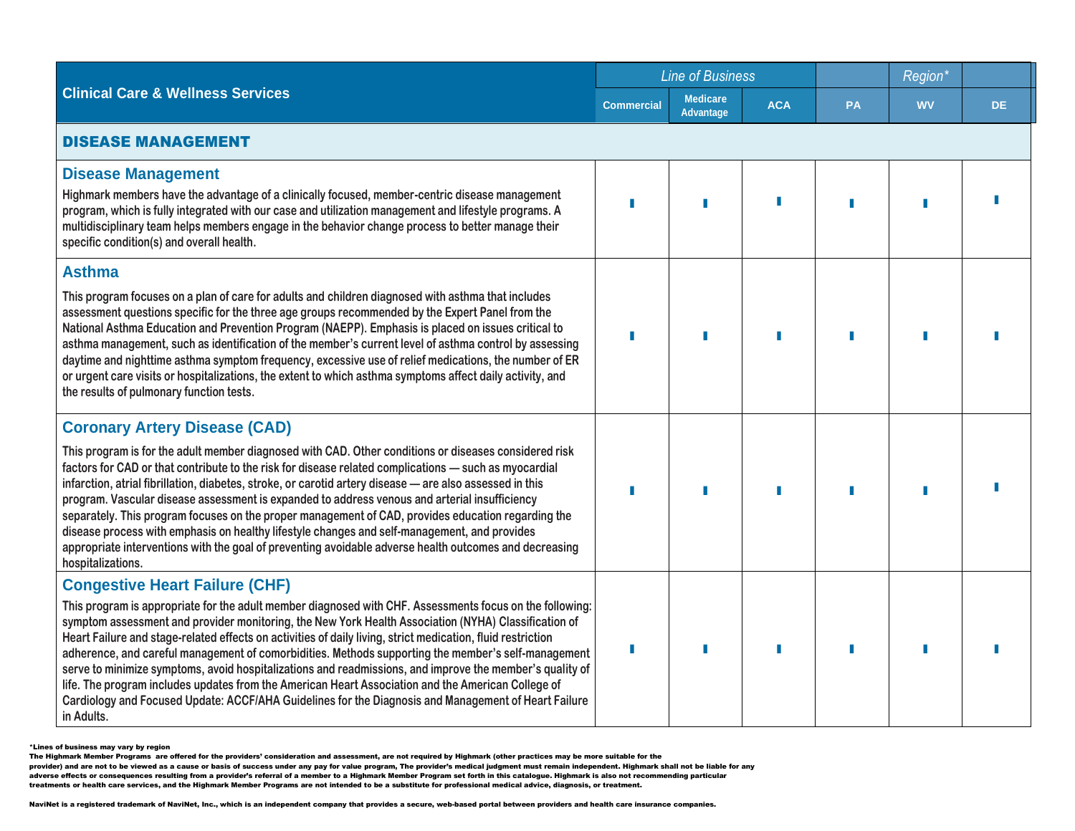|                                                                                                                                                                                                                                                                                                                                                                                                                                                                                                                                                                                                                                                                                                                                                                                                                         | <b>Line of Business</b> |                                     |            | Region <sup>*</sup> |           |     |  |  |
|-------------------------------------------------------------------------------------------------------------------------------------------------------------------------------------------------------------------------------------------------------------------------------------------------------------------------------------------------------------------------------------------------------------------------------------------------------------------------------------------------------------------------------------------------------------------------------------------------------------------------------------------------------------------------------------------------------------------------------------------------------------------------------------------------------------------------|-------------------------|-------------------------------------|------------|---------------------|-----------|-----|--|--|
| <b>Clinical Care &amp; Wellness Services</b>                                                                                                                                                                                                                                                                                                                                                                                                                                                                                                                                                                                                                                                                                                                                                                            | <b>Commercial</b>       | <b>Medicare</b><br><b>Advantage</b> | <b>ACA</b> | <b>PA</b>           | <b>WV</b> | DE. |  |  |
| <b>DISEASE MANAGEMENT</b>                                                                                                                                                                                                                                                                                                                                                                                                                                                                                                                                                                                                                                                                                                                                                                                               |                         |                                     |            |                     |           |     |  |  |
| <b>Disease Management</b><br>Highmark members have the advantage of a clinically focused, member-centric disease management<br>program, which is fully integrated with our case and utilization management and lifestyle programs. A<br>multidisciplinary team helps members engage in the behavior change process to better manage their<br>specific condition(s) and overall health.                                                                                                                                                                                                                                                                                                                                                                                                                                  |                         |                                     |            |                     |           |     |  |  |
| <b>Asthma</b><br>This program focuses on a plan of care for adults and children diagnosed with asthma that includes<br>assessment questions specific for the three age groups recommended by the Expert Panel from the<br>National Asthma Education and Prevention Program (NAEPP). Emphasis is placed on issues critical to<br>asthma management, such as identification of the member's current level of asthma control by assessing<br>daytime and nighttime asthma symptom frequency, excessive use of relief medications, the number of ER<br>or urgent care visits or hospitalizations, the extent to which asthma symptoms affect daily activity, and<br>the results of pulmonary function tests.                                                                                                                |                         |                                     |            |                     |           |     |  |  |
| <b>Coronary Artery Disease (CAD)</b><br>This program is for the adult member diagnosed with CAD. Other conditions or diseases considered risk<br>factors for CAD or that contribute to the risk for disease related complications - such as myocardial<br>infarction, atrial fibrillation, diabetes, stroke, or carotid artery disease - are also assessed in this<br>program. Vascular disease assessment is expanded to address venous and arterial insufficiency<br>separately. This program focuses on the proper management of CAD, provides education regarding the<br>disease process with emphasis on healthy lifestyle changes and self-management, and provides<br>appropriate interventions with the goal of preventing avoidable adverse health outcomes and decreasing<br>hospitalizations.                |                         |                                     |            |                     |           |     |  |  |
| <b>Congestive Heart Failure (CHF)</b><br>This program is appropriate for the adult member diagnosed with CHF. Assessments focus on the following:<br>symptom assessment and provider monitoring, the New York Health Association (NYHA) Classification of<br>Heart Failure and stage-related effects on activities of daily living, strict medication, fluid restriction<br>adherence, and careful management of comorbidities. Methods supporting the member's self-management<br>serve to minimize symptoms, avoid hospitalizations and readmissions, and improve the member's quality of<br>life. The program includes updates from the American Heart Association and the American College of<br>Cardiology and Focused Update: ACCF/AHA Guidelines for the Diagnosis and Management of Heart Failure<br>in Adults. |                         | Π                                   | П          |                     |           |     |  |  |

<sup>\*</sup>Lines of business may vary by region

The Highmark Member Programs are offered for the providers' consideration and assessment, are not required by Highmark (other practices may be more suitable for the<br>provider) and are not to be viewed as a cause or basis o

adverse effects or consequences resulting from a provider's referral of a member to a Highmark Member Program set forth in this catalogue. Highmark is also not recommending particular

treatments or health care services, and the Highmark Member Programs are not intended to be a substitute for professional medical advice, diagnosis, or treatment.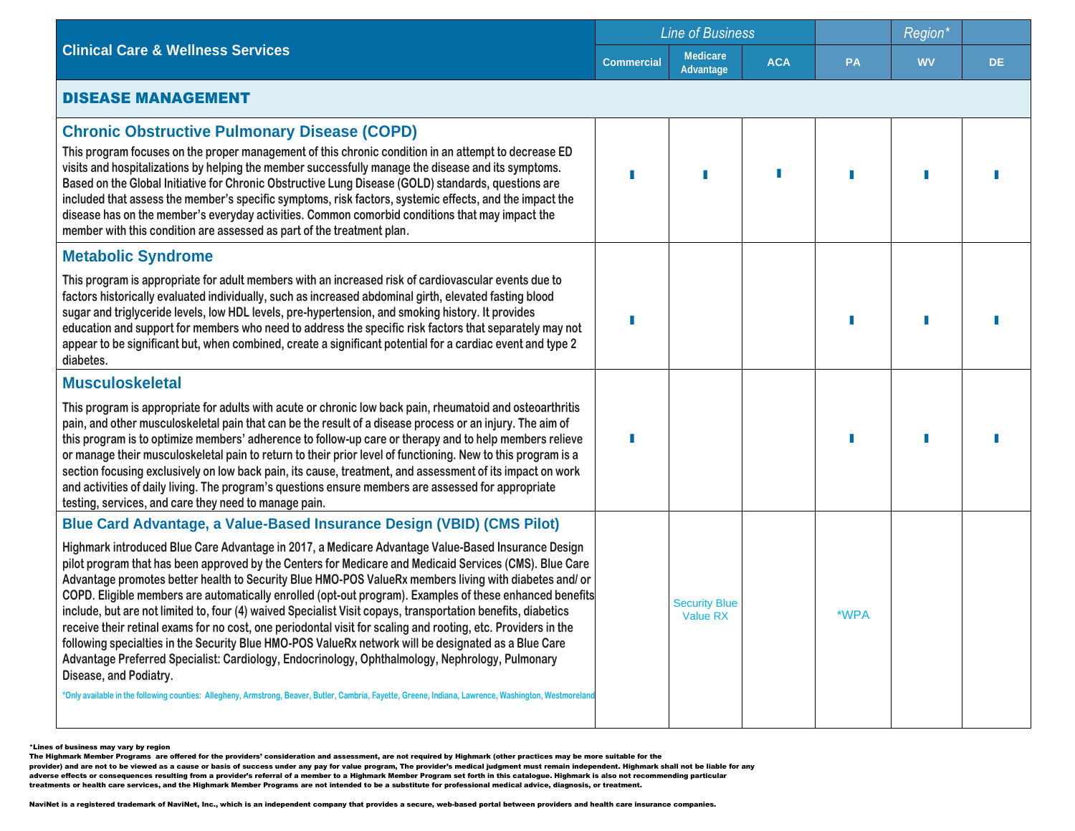|                                                                                                                                                                                                                                                                                                                                                                                                                                                                                                                                                                                                                                                                                                                                                                                                                                                                                                                                                                                                                                                                                                                                               | <b>Line of Business</b> |                                         |            |           |           |     |  |  |
|-----------------------------------------------------------------------------------------------------------------------------------------------------------------------------------------------------------------------------------------------------------------------------------------------------------------------------------------------------------------------------------------------------------------------------------------------------------------------------------------------------------------------------------------------------------------------------------------------------------------------------------------------------------------------------------------------------------------------------------------------------------------------------------------------------------------------------------------------------------------------------------------------------------------------------------------------------------------------------------------------------------------------------------------------------------------------------------------------------------------------------------------------|-------------------------|-----------------------------------------|------------|-----------|-----------|-----|--|--|
| <b>Clinical Care &amp; Wellness Services</b>                                                                                                                                                                                                                                                                                                                                                                                                                                                                                                                                                                                                                                                                                                                                                                                                                                                                                                                                                                                                                                                                                                  | <b>Commercial</b>       | <b>Medicare</b><br>Advantage            | <b>ACA</b> | <b>PA</b> | <b>WV</b> | DE. |  |  |
| <b>DISEASE MANAGEMENT</b>                                                                                                                                                                                                                                                                                                                                                                                                                                                                                                                                                                                                                                                                                                                                                                                                                                                                                                                                                                                                                                                                                                                     |                         |                                         |            |           |           |     |  |  |
| <b>Chronic Obstructive Pulmonary Disease (COPD)</b><br>This program focuses on the proper management of this chronic condition in an attempt to decrease ED<br>visits and hospitalizations by helping the member successfully manage the disease and its symptoms.<br>Based on the Global Initiative for Chronic Obstructive Lung Disease (GOLD) standards, questions are<br>included that assess the member's specific symptoms, risk factors, systemic effects, and the impact the<br>disease has on the member's everyday activities. Common comorbid conditions that may impact the<br>member with this condition are assessed as part of the treatment plan.                                                                                                                                                                                                                                                                                                                                                                                                                                                                             |                         |                                         |            |           |           |     |  |  |
| <b>Metabolic Syndrome</b><br>This program is appropriate for adult members with an increased risk of cardiovascular events due to<br>factors historically evaluated individually, such as increased abdominal girth, elevated fasting blood<br>sugar and triglyceride levels, low HDL levels, pre-hypertension, and smoking history. It provides<br>education and support for members who need to address the specific risk factors that separately may not<br>appear to be significant but, when combined, create a significant potential for a cardiac event and type 2<br>diabetes.                                                                                                                                                                                                                                                                                                                                                                                                                                                                                                                                                        |                         |                                         |            |           |           |     |  |  |
| <b>Musculoskeletal</b><br>This program is appropriate for adults with acute or chronic low back pain, rheumatoid and osteoarthritis<br>pain, and other musculoskeletal pain that can be the result of a disease process or an injury. The aim of<br>this program is to optimize members' adherence to follow-up care or therapy and to help members relieve<br>or manage their musculoskeletal pain to return to their prior level of functioning. New to this program is a<br>section focusing exclusively on low back pain, its cause, treatment, and assessment of its impact on work<br>and activities of daily living. The program's questions ensure members are assessed for appropriate<br>testing, services, and care they need to manage pain.                                                                                                                                                                                                                                                                                                                                                                                      |                         |                                         |            |           |           |     |  |  |
| Blue Card Advantage, a Value-Based Insurance Design (VBID) (CMS Pilot)<br>Highmark introduced Blue Care Advantage in 2017, a Medicare Advantage Value-Based Insurance Design<br>pilot program that has been approved by the Centers for Medicare and Medicaid Services (CMS). Blue Care<br>Advantage promotes better health to Security Blue HMO-POS ValueRx members living with diabetes and/ or<br>COPD. Eligible members are automatically enrolled (opt-out program). Examples of these enhanced benefits<br>include, but are not limited to, four (4) waived Specialist Visit copays, transportation benefits, diabetics<br>receive their retinal exams for no cost, one periodontal visit for scaling and rooting, etc. Providers in the<br>following specialties in the Security Blue HMO-POS ValueRx network will be designated as a Blue Care<br>Advantage Preferred Specialist: Cardiology, Endocrinology, Ophthalmology, Nephrology, Pulmonary<br>Disease, and Podiatry.<br>*Only available in the following counties: Allegheny, Armstrong, Beaver, Butler, Cambria, Fayette, Greene, Indiana, Lawrence, Washington, Westmoreland |                         | <b>Security Blue</b><br><b>Value RX</b> |            | *WPA      |           |     |  |  |

The Highmark Member Programs are offered for the providers' consideration and assessment, are not required by Highmark (other practices may be more suitable for the<br>provider) and are not to be viewed as a cause or basis o

adverse effects or consequences resulting from a provider's referral of a member to a Highmark Member Program set forth in this catalogue. Highmark is also not recommending particular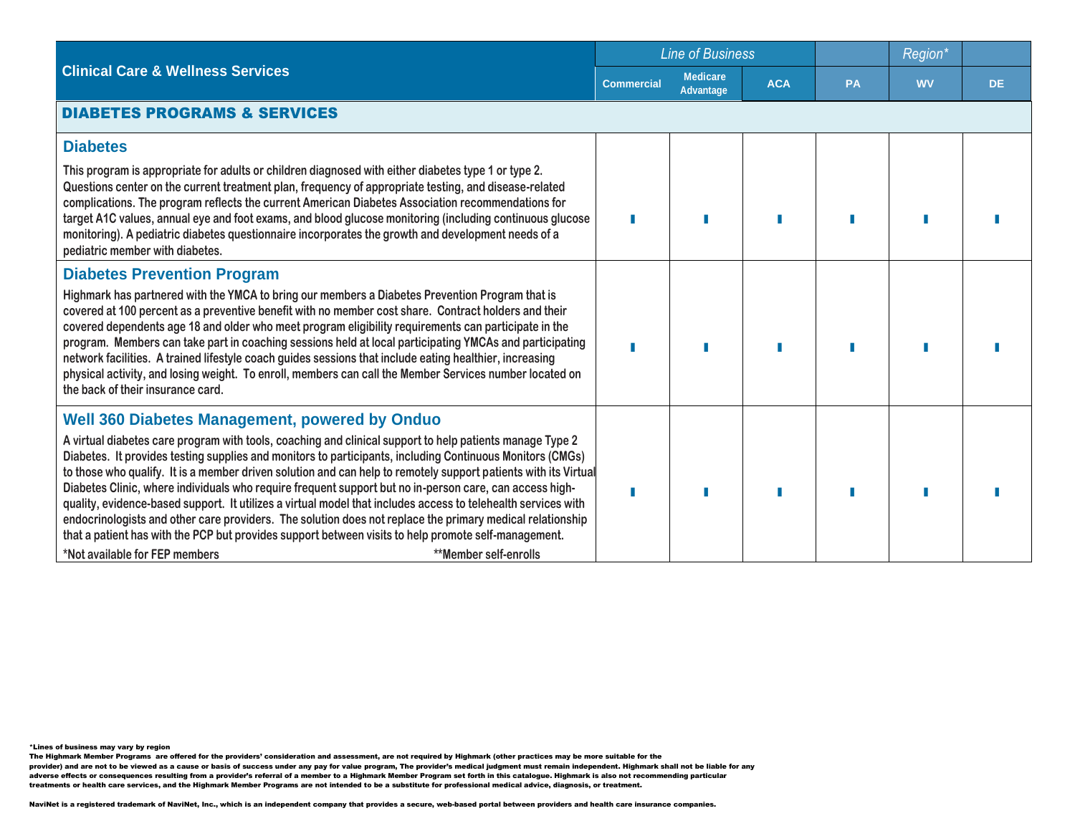|                                                                                                                                                                                                                                                                                                                                                                                                                                                                                                                                                                                                                                                                                                                                                                                                                                                             | <b>Line of Business</b> |                                     |            | Region*   |           |           |
|-------------------------------------------------------------------------------------------------------------------------------------------------------------------------------------------------------------------------------------------------------------------------------------------------------------------------------------------------------------------------------------------------------------------------------------------------------------------------------------------------------------------------------------------------------------------------------------------------------------------------------------------------------------------------------------------------------------------------------------------------------------------------------------------------------------------------------------------------------------|-------------------------|-------------------------------------|------------|-----------|-----------|-----------|
| <b>Clinical Care &amp; Wellness Services</b>                                                                                                                                                                                                                                                                                                                                                                                                                                                                                                                                                                                                                                                                                                                                                                                                                | <b>Commercial</b>       | <b>Medicare</b><br><b>Advantage</b> | <b>ACA</b> | <b>PA</b> | <b>WV</b> | <b>DE</b> |
| <b>DIABETES PROGRAMS &amp; SERVICES</b>                                                                                                                                                                                                                                                                                                                                                                                                                                                                                                                                                                                                                                                                                                                                                                                                                     |                         |                                     |            |           |           |           |
| <b>Diabetes</b>                                                                                                                                                                                                                                                                                                                                                                                                                                                                                                                                                                                                                                                                                                                                                                                                                                             |                         |                                     |            |           |           |           |
| This program is appropriate for adults or children diagnosed with either diabetes type 1 or type 2.<br>Questions center on the current treatment plan, frequency of appropriate testing, and disease-related<br>complications. The program reflects the current American Diabetes Association recommendations for<br>target A1C values, annual eye and foot exams, and blood glucose monitoring (including continuous glucose<br>monitoring). A pediatric diabetes questionnaire incorporates the growth and development needs of a<br>pediatric member with diabetes.                                                                                                                                                                                                                                                                                      |                         |                                     |            |           |           |           |
| <b>Diabetes Prevention Program</b>                                                                                                                                                                                                                                                                                                                                                                                                                                                                                                                                                                                                                                                                                                                                                                                                                          |                         |                                     |            |           |           |           |
| Highmark has partnered with the YMCA to bring our members a Diabetes Prevention Program that is<br>covered at 100 percent as a preventive benefit with no member cost share. Contract holders and their<br>covered dependents age 18 and older who meet program eligibility requirements can participate in the<br>program. Members can take part in coaching sessions held at local participating YMCAs and participating<br>network facilities. A trained lifestyle coach guides sessions that include eating healthier, increasing<br>physical activity, and losing weight. To enroll, members can call the Member Services number located on<br>the back of their insurance card.                                                                                                                                                                       |                         |                                     |            |           |           |           |
| <b>Well 360 Diabetes Management, powered by Onduo</b>                                                                                                                                                                                                                                                                                                                                                                                                                                                                                                                                                                                                                                                                                                                                                                                                       |                         |                                     |            |           |           |           |
| A virtual diabetes care program with tools, coaching and clinical support to help patients manage Type 2<br>Diabetes. It provides testing supplies and monitors to participants, including Continuous Monitors (CMGs)<br>to those who qualify. It is a member driven solution and can help to remotely support patients with its Virtual<br>Diabetes Clinic, where individuals who require frequent support but no in-person care, can access high-<br>quality, evidence-based support. It utilizes a virtual model that includes access to telehealth services with<br>endocrinologists and other care providers. The solution does not replace the primary medical relationship<br>that a patient has with the PCP but provides support between visits to help promote self-management.<br>*Not available for FEP members<br><b>**Member self-enrolls</b> |                         |                                     |            |           |           |           |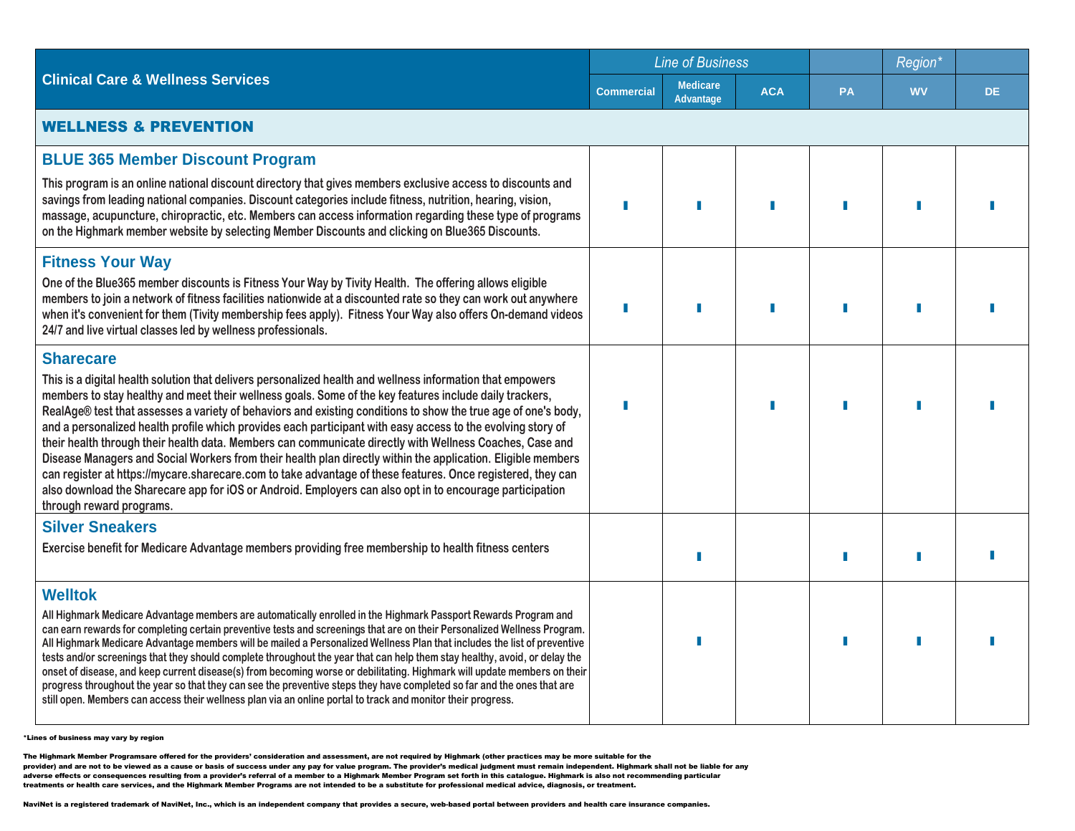|                                                                                                                                                                                                                                                                                                                                                                                                                                                                                                                                                                                                                                                                                                                                                                                                                                                                                                                                           |                   | <b>Line of Business</b>      |            |           | Region <sup>*</sup> |           |  |  |
|-------------------------------------------------------------------------------------------------------------------------------------------------------------------------------------------------------------------------------------------------------------------------------------------------------------------------------------------------------------------------------------------------------------------------------------------------------------------------------------------------------------------------------------------------------------------------------------------------------------------------------------------------------------------------------------------------------------------------------------------------------------------------------------------------------------------------------------------------------------------------------------------------------------------------------------------|-------------------|------------------------------|------------|-----------|---------------------|-----------|--|--|
| <b>Clinical Care &amp; Wellness Services</b>                                                                                                                                                                                                                                                                                                                                                                                                                                                                                                                                                                                                                                                                                                                                                                                                                                                                                              | <b>Commercial</b> | <b>Medicare</b><br>Advantage | <b>ACA</b> | <b>PA</b> | <b>WV</b>           | <b>DE</b> |  |  |
| <b>WELLNESS &amp; PREVENTION</b>                                                                                                                                                                                                                                                                                                                                                                                                                                                                                                                                                                                                                                                                                                                                                                                                                                                                                                          |                   |                              |            |           |                     |           |  |  |
| <b>BLUE 365 Member Discount Program</b>                                                                                                                                                                                                                                                                                                                                                                                                                                                                                                                                                                                                                                                                                                                                                                                                                                                                                                   |                   |                              |            |           |                     |           |  |  |
| This program is an online national discount directory that gives members exclusive access to discounts and<br>savings from leading national companies. Discount categories include fitness, nutrition, hearing, vision,<br>massage, acupuncture, chiropractic, etc. Members can access information regarding these type of programs<br>on the Highmark member website by selecting Member Discounts and clicking on Blue365 Discounts.                                                                                                                                                                                                                                                                                                                                                                                                                                                                                                    |                   |                              |            |           |                     |           |  |  |
| <b>Fitness Your Way</b>                                                                                                                                                                                                                                                                                                                                                                                                                                                                                                                                                                                                                                                                                                                                                                                                                                                                                                                   |                   |                              |            |           |                     |           |  |  |
| One of the Blue365 member discounts is Fitness Your Way by Tivity Health. The offering allows eligible<br>members to join a network of fitness facilities nationwide at a discounted rate so they can work out anywhere<br>when it's convenient for them (Tivity membership fees apply). Fitness Your Way also offers On-demand videos<br>24/7 and live virtual classes led by wellness professionals.                                                                                                                                                                                                                                                                                                                                                                                                                                                                                                                                    |                   |                              |            |           |                     |           |  |  |
| <b>Sharecare</b>                                                                                                                                                                                                                                                                                                                                                                                                                                                                                                                                                                                                                                                                                                                                                                                                                                                                                                                          |                   |                              |            |           |                     |           |  |  |
| This is a digital health solution that delivers personalized health and wellness information that empowers<br>members to stay healthy and meet their wellness goals. Some of the key features include daily trackers,<br>RealAge® test that assesses a variety of behaviors and existing conditions to show the true age of one's body,<br>and a personalized health profile which provides each participant with easy access to the evolving story of<br>their health through their health data. Members can communicate directly with Wellness Coaches, Case and<br>Disease Managers and Social Workers from their health plan directly within the application. Eligible members<br>can register at https://mycare.sharecare.com to take advantage of these features. Once registered, they can<br>also download the Sharecare app for iOS or Android. Employers can also opt in to encourage participation<br>through reward programs. |                   |                              |            |           |                     |           |  |  |
| <b>Silver Sneakers</b>                                                                                                                                                                                                                                                                                                                                                                                                                                                                                                                                                                                                                                                                                                                                                                                                                                                                                                                    |                   |                              |            |           |                     |           |  |  |
| Exercise benefit for Medicare Advantage members providing free membership to health fitness centers                                                                                                                                                                                                                                                                                                                                                                                                                                                                                                                                                                                                                                                                                                                                                                                                                                       |                   |                              |            |           |                     |           |  |  |
| <b>Welltok</b>                                                                                                                                                                                                                                                                                                                                                                                                                                                                                                                                                                                                                                                                                                                                                                                                                                                                                                                            |                   |                              |            |           |                     |           |  |  |
| All Highmark Medicare Advantage members are automatically enrolled in the Highmark Passport Rewards Program and<br>can earn rewards for completing certain preventive tests and screenings that are on their Personalized Wellness Program.<br>All Highmark Medicare Advantage members will be mailed a Personalized Wellness Plan that includes the list of preventive<br>tests and/or screenings that they should complete throughout the year that can help them stay healthy, avoid, or delay the<br>onset of disease, and keep current disease(s) from becoming worse or debilitating. Highmark will update members on their<br>progress throughout the year so that they can see the preventive steps they have completed so far and the ones that are<br>still open. Members can access their wellness plan via an online portal to track and monitor their progress.                                                              |                   |                              |            |           |                     |           |  |  |

The Highmark Member Programsare offered for the providers' consideration and assessment, are not required by Highmark (other practices may be more suitable for the<br>provider) and are not to be viewed as a cause or basis of adverse effects or consequences resulting from a provider's referral of a member to a Highmark Member Program set forth in this catalogue. Highmark is also not recommending particular<br>treatments or health care services, an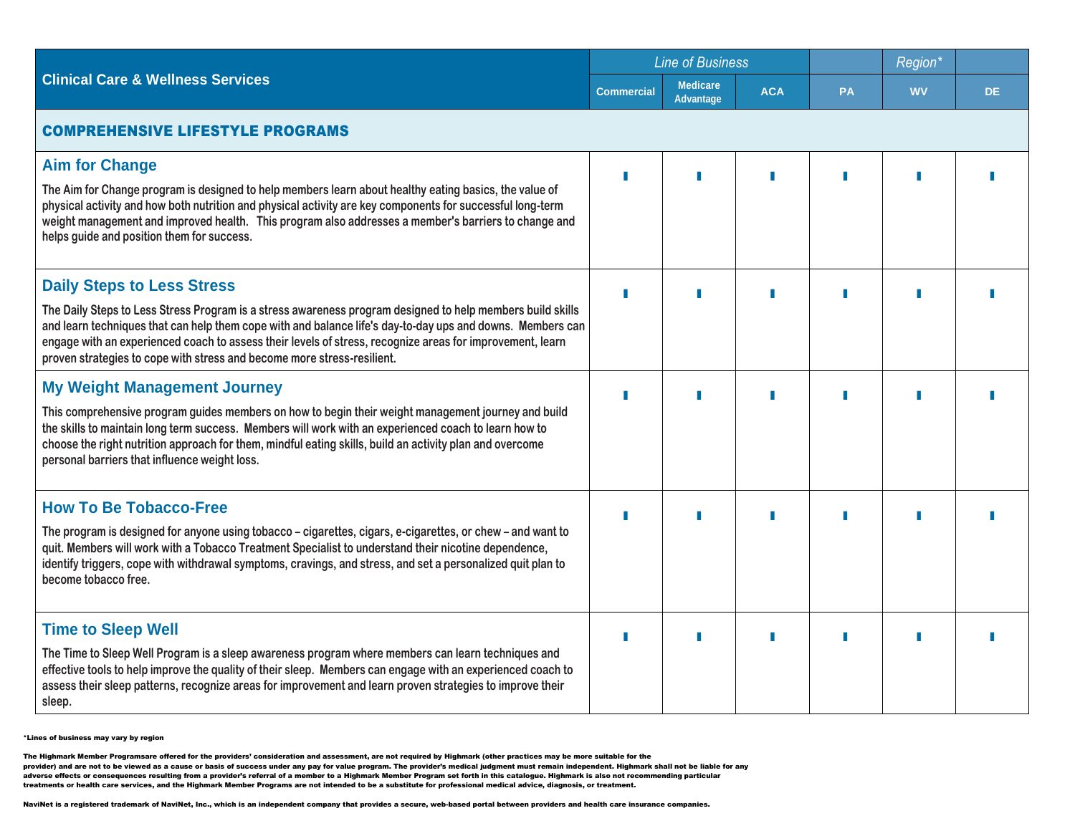|                                                                                                                                                                                                                                                                                                                                                                                                                                                       |                   | <b>Line of Business</b>             |            |           | Region*   |     |  |
|-------------------------------------------------------------------------------------------------------------------------------------------------------------------------------------------------------------------------------------------------------------------------------------------------------------------------------------------------------------------------------------------------------------------------------------------------------|-------------------|-------------------------------------|------------|-----------|-----------|-----|--|
| <b>Clinical Care &amp; Wellness Services</b>                                                                                                                                                                                                                                                                                                                                                                                                          | <b>Commercial</b> | <b>Medicare</b><br><b>Advantage</b> | <b>ACA</b> | <b>PA</b> | <b>WV</b> | DE. |  |
| <b>COMPREHENSIVE LIFESTYLE PROGRAMS</b>                                                                                                                                                                                                                                                                                                                                                                                                               |                   |                                     |            |           |           |     |  |
| <b>Aim for Change</b><br>The Aim for Change program is designed to help members learn about healthy eating basics, the value of<br>physical activity and how both nutrition and physical activity are key components for successful long-term<br>weight management and improved health. This program also addresses a member's barriers to change and<br>helps guide and position them for success.                                                   |                   |                                     |            |           |           |     |  |
| <b>Daily Steps to Less Stress</b><br>The Daily Steps to Less Stress Program is a stress awareness program designed to help members build skills<br>and learn techniques that can help them cope with and balance life's day-to-day ups and downs. Members can<br>engage with an experienced coach to assess their levels of stress, recognize areas for improvement, learn<br>proven strategies to cope with stress and become more stress-resilient. |                   |                                     |            |           |           |     |  |
| <b>My Weight Management Journey</b><br>This comprehensive program guides members on how to begin their weight management journey and build<br>the skills to maintain long term success. Members will work with an experienced coach to learn how to<br>choose the right nutrition approach for them, mindful eating skills, build an activity plan and overcome<br>personal barriers that influence weight loss.                                      |                   |                                     |            |           |           |     |  |
| <b>How To Be Tobacco-Free</b><br>The program is designed for anyone using tobacco – cigarettes, cigars, e-cigarettes, or chew – and want to<br>quit. Members will work with a Tobacco Treatment Specialist to understand their nicotine dependence,<br>identify triggers, cope with withdrawal symptoms, cravings, and stress, and set a personalized quit plan to<br>become tobacco free.                                                            |                   |                                     |            |           |           |     |  |
| <b>Time to Sleep Well</b><br>The Time to Sleep Well Program is a sleep awareness program where members can learn techniques and<br>effective tools to help improve the quality of their sleep. Members can engage with an experienced coach to<br>assess their sleep patterns, recognize areas for improvement and learn proven strategies to improve their<br>sleep.                                                                                 |                   |                                     | ш          |           |           |     |  |

The Highmark Member Programsare offered for the providers' consideration and assessment, are not required by Highmark (other practices may be more suitable for the<br>provider) and are not to be viewed as a cause or basis of adverse effects or consequences resulting from a provider's referral of a member to a Highmark Member Program set forth in this catalogue. Highmark is also not recommending particular<br>treatments or health care services, an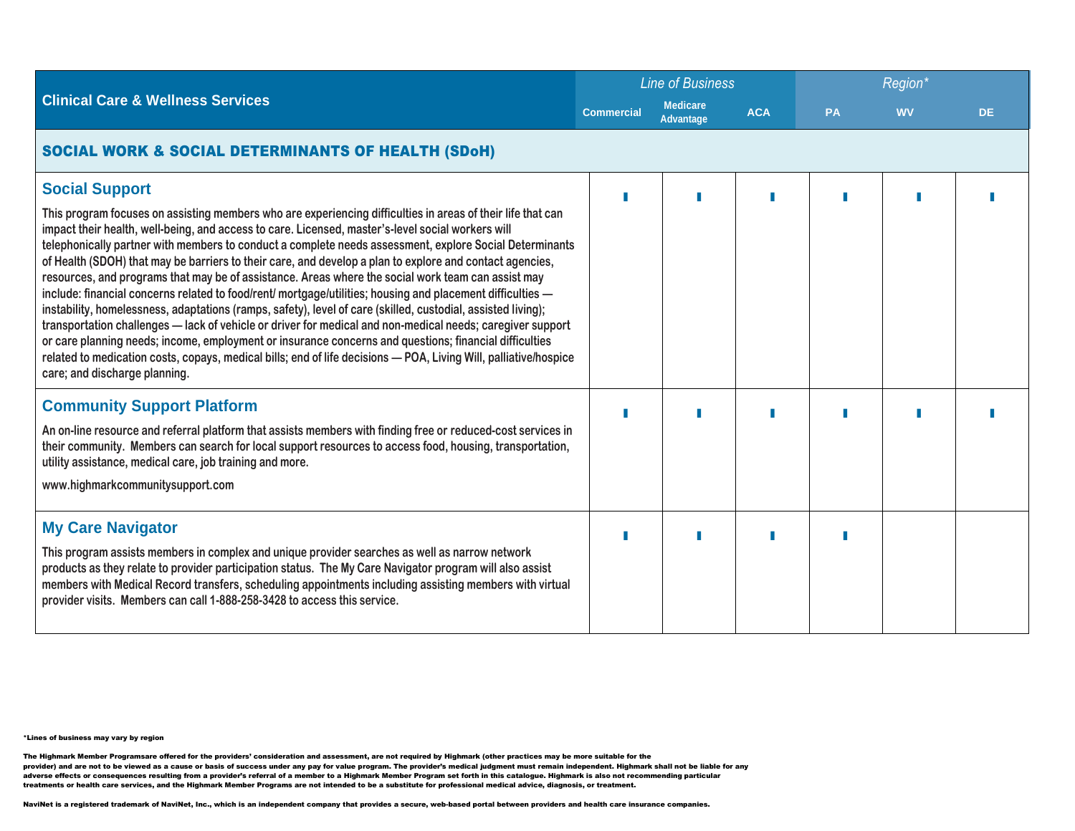|                                                                                                                                                                                                                                                                                                                                                                                                                                                                                                                                                                                                                                                                                      | <b>Line of Business</b> |                                     |            | Region <sup>*</sup> |           |     |  |
|--------------------------------------------------------------------------------------------------------------------------------------------------------------------------------------------------------------------------------------------------------------------------------------------------------------------------------------------------------------------------------------------------------------------------------------------------------------------------------------------------------------------------------------------------------------------------------------------------------------------------------------------------------------------------------------|-------------------------|-------------------------------------|------------|---------------------|-----------|-----|--|
| <b>Clinical Care &amp; Wellness Services</b>                                                                                                                                                                                                                                                                                                                                                                                                                                                                                                                                                                                                                                         | <b>Commercial</b>       | <b>Medicare</b><br><b>Advantage</b> | <b>ACA</b> | <b>PA</b>           | <b>WV</b> | DE. |  |
| <b>SOCIAL WORK &amp; SOCIAL DETERMINANTS OF HEALTH (SDoH)</b>                                                                                                                                                                                                                                                                                                                                                                                                                                                                                                                                                                                                                        |                         |                                     |            |                     |           |     |  |
| <b>Social Support</b><br>This program focuses on assisting members who are experiencing difficulties in areas of their life that can<br>impact their health, well-being, and access to care. Licensed, master's-level social workers will<br>telephonically partner with members to conduct a complete needs assessment, explore Social Determinants<br>of Health (SDOH) that may be barriers to their care, and develop a plan to explore and contact agencies,<br>resources, and programs that may be of assistance. Areas where the social work team can assist may<br>include: financial concerns related to food/rent/ mortgage/utilities; housing and placement difficulties - |                         |                                     |            |                     |           |     |  |
| instability, homelessness, adaptations (ramps, safety), level of care (skilled, custodial, assisted living);<br>transportation challenges - lack of vehicle or driver for medical and non-medical needs; caregiver support<br>or care planning needs; income, employment or insurance concerns and questions; financial difficulties<br>related to medication costs, copays, medical bills; end of life decisions - POA, Living Will, palliative/hospice<br>care; and discharge planning.                                                                                                                                                                                            |                         |                                     |            |                     |           |     |  |
| <b>Community Support Platform</b>                                                                                                                                                                                                                                                                                                                                                                                                                                                                                                                                                                                                                                                    |                         |                                     |            |                     |           |     |  |
| An on-line resource and referral platform that assists members with finding free or reduced-cost services in<br>their community. Members can search for local support resources to access food, housing, transportation,<br>utility assistance, medical care, job training and more.                                                                                                                                                                                                                                                                                                                                                                                                 |                         |                                     |            |                     |           |     |  |
| www.highmarkcommunitysupport.com                                                                                                                                                                                                                                                                                                                                                                                                                                                                                                                                                                                                                                                     |                         |                                     |            |                     |           |     |  |
| <b>My Care Navigator</b><br>This program assists members in complex and unique provider searches as well as narrow network<br>products as they relate to provider participation status. The My Care Navigator program will also assist<br>members with Medical Record transfers, scheduling appointments including assisting members with virtual<br>provider visits. Members can call 1-888-258-3428 to access this service.                                                                                                                                                                                                                                                        |                         |                                     |            |                     |           |     |  |

The Highmark Member Programsare offered for the providers' consideration and assessment, are not required by Highmark (other practices may be more suitable for the<br>provider) and are not to be viewed as a cause or basis of adverse effects or consequences resulting from a provider's referral of a member to a Highmark Member Program set forth in this catalogue. Highmark is also not recommending particular<br>treatments or health care services, an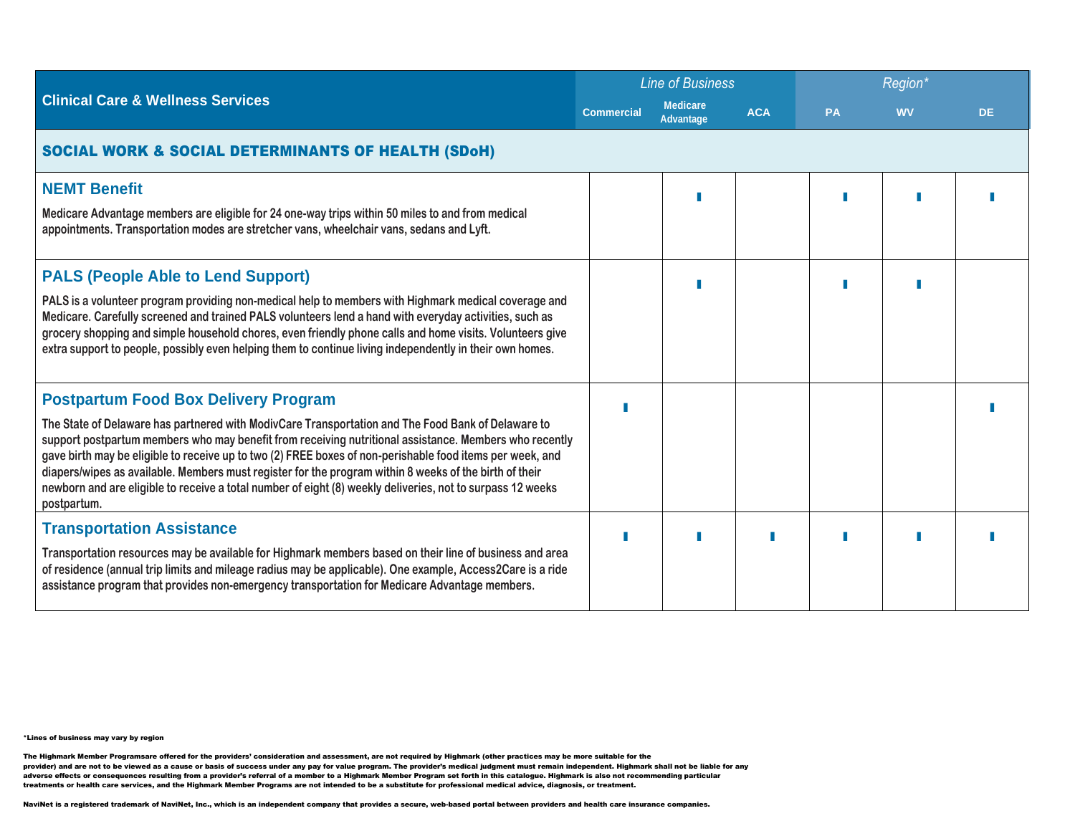|                                                                                                                                                                                                                                                                                                                                                                                                                                                                                                                                                                                                                 |                   | <b>Line of Business</b>      |            |           | Region*   |     |  |  |
|-----------------------------------------------------------------------------------------------------------------------------------------------------------------------------------------------------------------------------------------------------------------------------------------------------------------------------------------------------------------------------------------------------------------------------------------------------------------------------------------------------------------------------------------------------------------------------------------------------------------|-------------------|------------------------------|------------|-----------|-----------|-----|--|--|
| <b>Clinical Care &amp; Wellness Services</b>                                                                                                                                                                                                                                                                                                                                                                                                                                                                                                                                                                    | <b>Commercial</b> | <b>Medicare</b><br>Advantage | <b>ACA</b> | <b>PA</b> | <b>WV</b> | DE. |  |  |
| <b>SOCIAL WORK &amp; SOCIAL DETERMINANTS OF HEALTH (SDoH)</b>                                                                                                                                                                                                                                                                                                                                                                                                                                                                                                                                                   |                   |                              |            |           |           |     |  |  |
| <b>NEMT Benefit</b><br>Medicare Advantage members are eligible for 24 one-way trips within 50 miles to and from medical<br>appointments. Transportation modes are stretcher vans, wheelchair vans, sedans and Lyft.                                                                                                                                                                                                                                                                                                                                                                                             |                   |                              |            |           |           |     |  |  |
| <b>PALS (People Able to Lend Support)</b><br>PALS is a volunteer program providing non-medical help to members with Highmark medical coverage and<br>Medicare. Carefully screened and trained PALS volunteers lend a hand with everyday activities, such as<br>grocery shopping and simple household chores, even friendly phone calls and home visits. Volunteers give<br>extra support to people, possibly even helping them to continue living independently in their own homes.                                                                                                                             |                   |                              |            |           |           |     |  |  |
| <b>Postpartum Food Box Delivery Program</b><br>The State of Delaware has partnered with ModivCare Transportation and The Food Bank of Delaware to<br>support postpartum members who may benefit from receiving nutritional assistance. Members who recently<br>gave birth may be eligible to receive up to two (2) FREE boxes of non-perishable food items per week, and<br>diapers/wipes as available. Members must register for the program within 8 weeks of the birth of their<br>newborn and are eligible to receive a total number of eight (8) weekly deliveries, not to surpass 12 weeks<br>postpartum. |                   |                              |            |           |           |     |  |  |
| <b>Transportation Assistance</b><br>Transportation resources may be available for Highmark members based on their line of business and area<br>of residence (annual trip limits and mileage radius may be applicable). One example, Access2Care is a ride<br>assistance program that provides non-emergency transportation for Medicare Advantage members.                                                                                                                                                                                                                                                      |                   |                              |            |           |           |     |  |  |

The Highmark Member Programsare offered for the providers' consideration and assessment, are not required by Highmark (other practices may be more suitable for the<br>provider) and are not to be viewed as a cause or basis of adverse effects or consequences resulting from a provider's referral of a member to a Highmark Member Program set forth in this catalogue. Highmark is also not recommending particular<br>treatments or health care services, an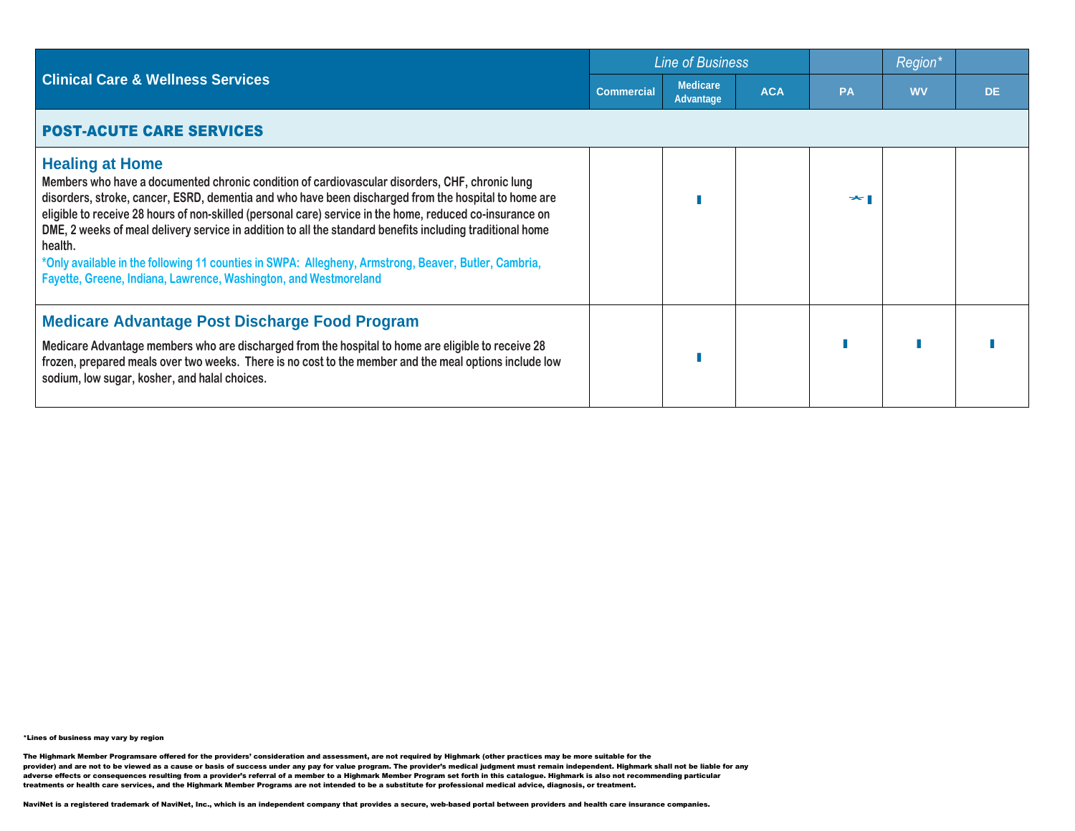|                                                                                                                                                                                                                                                                                                                                                                                                                                                                                                                                                                                                                                                  |                   | <b>Line of Business</b>      |            |    | <b>Region</b> |           |
|--------------------------------------------------------------------------------------------------------------------------------------------------------------------------------------------------------------------------------------------------------------------------------------------------------------------------------------------------------------------------------------------------------------------------------------------------------------------------------------------------------------------------------------------------------------------------------------------------------------------------------------------------|-------------------|------------------------------|------------|----|---------------|-----------|
| <b>Clinical Care &amp; Wellness Services</b>                                                                                                                                                                                                                                                                                                                                                                                                                                                                                                                                                                                                     | <b>Commercial</b> | <b>Medicare</b><br>Advantage | <b>ACA</b> | PA | <b>WV</b>     | <b>DE</b> |
| <b>POST-ACUTE CARE SERVICES</b>                                                                                                                                                                                                                                                                                                                                                                                                                                                                                                                                                                                                                  |                   |                              |            |    |               |           |
| <b>Healing at Home</b><br>Members who have a documented chronic condition of cardiovascular disorders, CHF, chronic lung<br>disorders, stroke, cancer, ESRD, dementia and who have been discharged from the hospital to home are<br>eligible to receive 28 hours of non-skilled (personal care) service in the home, reduced co-insurance on<br>DME, 2 weeks of meal delivery service in addition to all the standard benefits including traditional home<br>health.<br>*Only available in the following 11 counties in SWPA: Allegheny, Armstrong, Beaver, Butler, Cambria,<br>Fayette, Greene, Indiana, Lawrence, Washington, and Westmoreland |                   |                              |            |    |               |           |
| <b>Medicare Advantage Post Discharge Food Program</b><br>Medicare Advantage members who are discharged from the hospital to home are eligible to receive 28<br>frozen, prepared meals over two weeks. There is no cost to the member and the meal options include low<br>sodium, low sugar, kosher, and halal choices.                                                                                                                                                                                                                                                                                                                           |                   |                              |            |    |               |           |

The Highmark Member Programsare offered for the providers' consideration and assessment, are not required by Highmark (other practices may be more suitable for the<br>provider) and are not to be viewed as a cause or basis of adverse effects or consequences resulting from a provider's referral of a member to a Highmark Member Program set forth in this catalogue. Highmark is also not recommending particular<br>treatments or health care services, an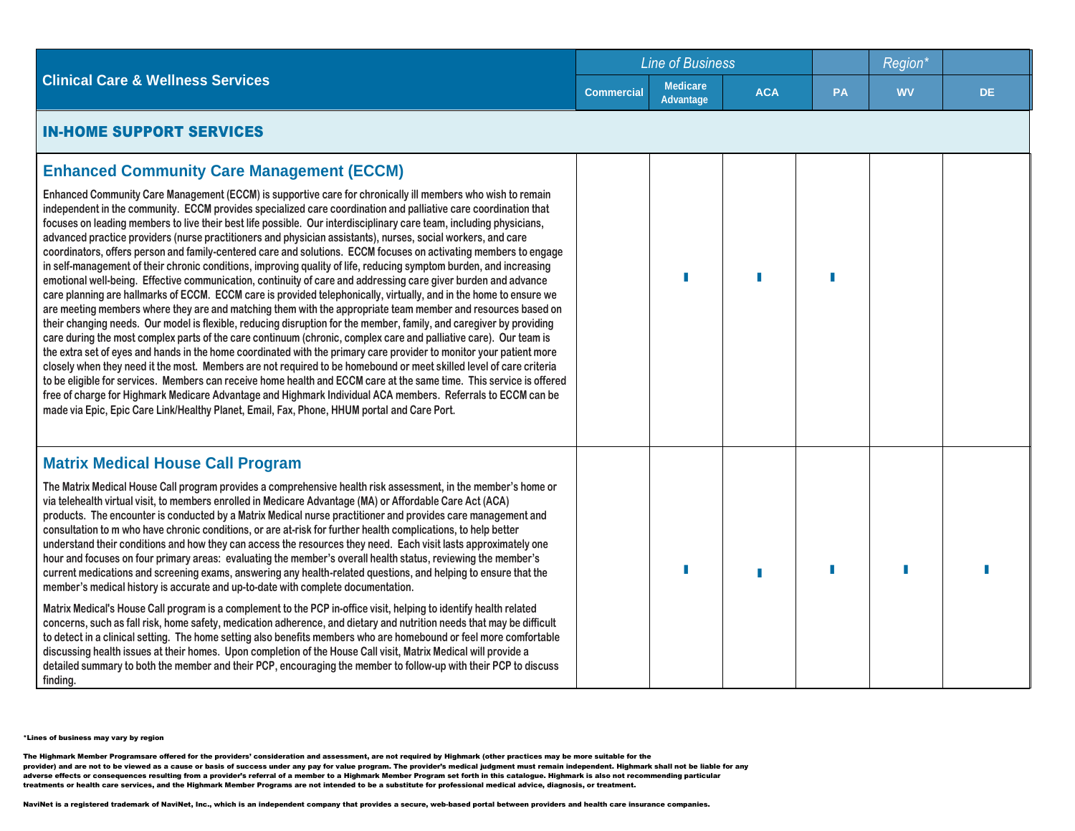|                                                                                                                                                                                                                                                                                                                                                                                                                                                                                                                                                                                                                                                                                                                                                                                                                                                                                                                                                                                                                                                                                                                                                                                                                                                                                                                                                                                                                                                                                                                                                                                                                                                                                                                                                                                                                                                                                                                                                              |                   | <b>Line of Business</b>      |            |    | Region*   |           |
|--------------------------------------------------------------------------------------------------------------------------------------------------------------------------------------------------------------------------------------------------------------------------------------------------------------------------------------------------------------------------------------------------------------------------------------------------------------------------------------------------------------------------------------------------------------------------------------------------------------------------------------------------------------------------------------------------------------------------------------------------------------------------------------------------------------------------------------------------------------------------------------------------------------------------------------------------------------------------------------------------------------------------------------------------------------------------------------------------------------------------------------------------------------------------------------------------------------------------------------------------------------------------------------------------------------------------------------------------------------------------------------------------------------------------------------------------------------------------------------------------------------------------------------------------------------------------------------------------------------------------------------------------------------------------------------------------------------------------------------------------------------------------------------------------------------------------------------------------------------------------------------------------------------------------------------------------------------|-------------------|------------------------------|------------|----|-----------|-----------|
| <b>Clinical Care &amp; Wellness Services</b>                                                                                                                                                                                                                                                                                                                                                                                                                                                                                                                                                                                                                                                                                                                                                                                                                                                                                                                                                                                                                                                                                                                                                                                                                                                                                                                                                                                                                                                                                                                                                                                                                                                                                                                                                                                                                                                                                                                 | <b>Commercial</b> | <b>Medicare</b><br>Advantage | <b>ACA</b> | PA | <b>WV</b> | <b>DE</b> |
| <b>IN-HOME SUPPORT SERVICES</b>                                                                                                                                                                                                                                                                                                                                                                                                                                                                                                                                                                                                                                                                                                                                                                                                                                                                                                                                                                                                                                                                                                                                                                                                                                                                                                                                                                                                                                                                                                                                                                                                                                                                                                                                                                                                                                                                                                                              |                   |                              |            |    |           |           |
| <b>Enhanced Community Care Management (ECCM)</b><br>Enhanced Community Care Management (ECCM) is supportive care for chronically ill members who wish to remain<br>independent in the community. ECCM provides specialized care coordination and palliative care coordination that<br>focuses on leading members to live their best life possible. Our interdisciplinary care team, including physicians,<br>advanced practice providers (nurse practitioners and physician assistants), nurses, social workers, and care<br>coordinators, offers person and family-centered care and solutions. ECCM focuses on activating members to engage<br>in self-management of their chronic conditions, improving quality of life, reducing symptom burden, and increasing<br>emotional well-being. Effective communication, continuity of care and addressing care giver burden and advance<br>care planning are hallmarks of ECCM. ECCM care is provided telephonically, virtually, and in the home to ensure we<br>are meeting members where they are and matching them with the appropriate team member and resources based on<br>their changing needs. Our model is flexible, reducing disruption for the member, family, and caregiver by providing<br>care during the most complex parts of the care continuum (chronic, complex care and palliative care). Our team is<br>the extra set of eyes and hands in the home coordinated with the primary care provider to monitor your patient more<br>closely when they need it the most. Members are not required to be homebound or meet skilled level of care criteria<br>to be eligible for services. Members can receive home health and ECCM care at the same time. This service is offered<br>free of charge for Highmark Medicare Advantage and Highmark Individual ACA members. Referrals to ECCM can be<br>made via Epic, Epic Care Link/Healthy Planet, Email, Fax, Phone, HHUM portal and Care Port. |                   |                              |            |    |           |           |
| <b>Matrix Medical House Call Program</b><br>The Matrix Medical House Call program provides a comprehensive health risk assessment, in the member's home or<br>via telehealth virtual visit, to members enrolled in Medicare Advantage (MA) or Affordable Care Act (ACA)<br>products. The encounter is conducted by a Matrix Medical nurse practitioner and provides care management and<br>consultation to m who have chronic conditions, or are at-risk for further health complications, to help better<br>understand their conditions and how they can access the resources they need. Each visit lasts approximately one<br>hour and focuses on four primary areas: evaluating the member's overall health status, reviewing the member's<br>current medications and screening exams, answering any health-related questions, and helping to ensure that the<br>member's medical history is accurate and up-to-date with complete documentation.<br>Matrix Medical's House Call program is a complement to the PCP in-office visit, helping to identify health related<br>concerns, such as fall risk, home safety, medication adherence, and dietary and nutrition needs that may be difficult<br>to detect in a clinical setting. The home setting also benefits members who are homebound or feel more comfortable<br>discussing health issues at their homes. Upon completion of the House Call visit, Matrix Medical will provide a<br>detailed summary to both the member and their PCP, encouraging the member to follow-up with their PCP to discuss<br>finding.                                                                                                                                                                                                                                                                                                                                                                                 |                   |                              |            | Г  |           |           |

The Highmark Member Programsare offered for the providers' consideration and assessment, are not required by Highmark (other practices may be more suitable for the<br>provider) and are not to be viewed as a cause or basis of adverse effects or consequences resulting from a provider's referral of a member to a Highmark Member Program set forth in this catalogue. Highmark is also not recommending particular treatments or health care services, and the Highmark Member Programs are not intended to be a substitute for professional medical advice, diagnosis, or treatment.